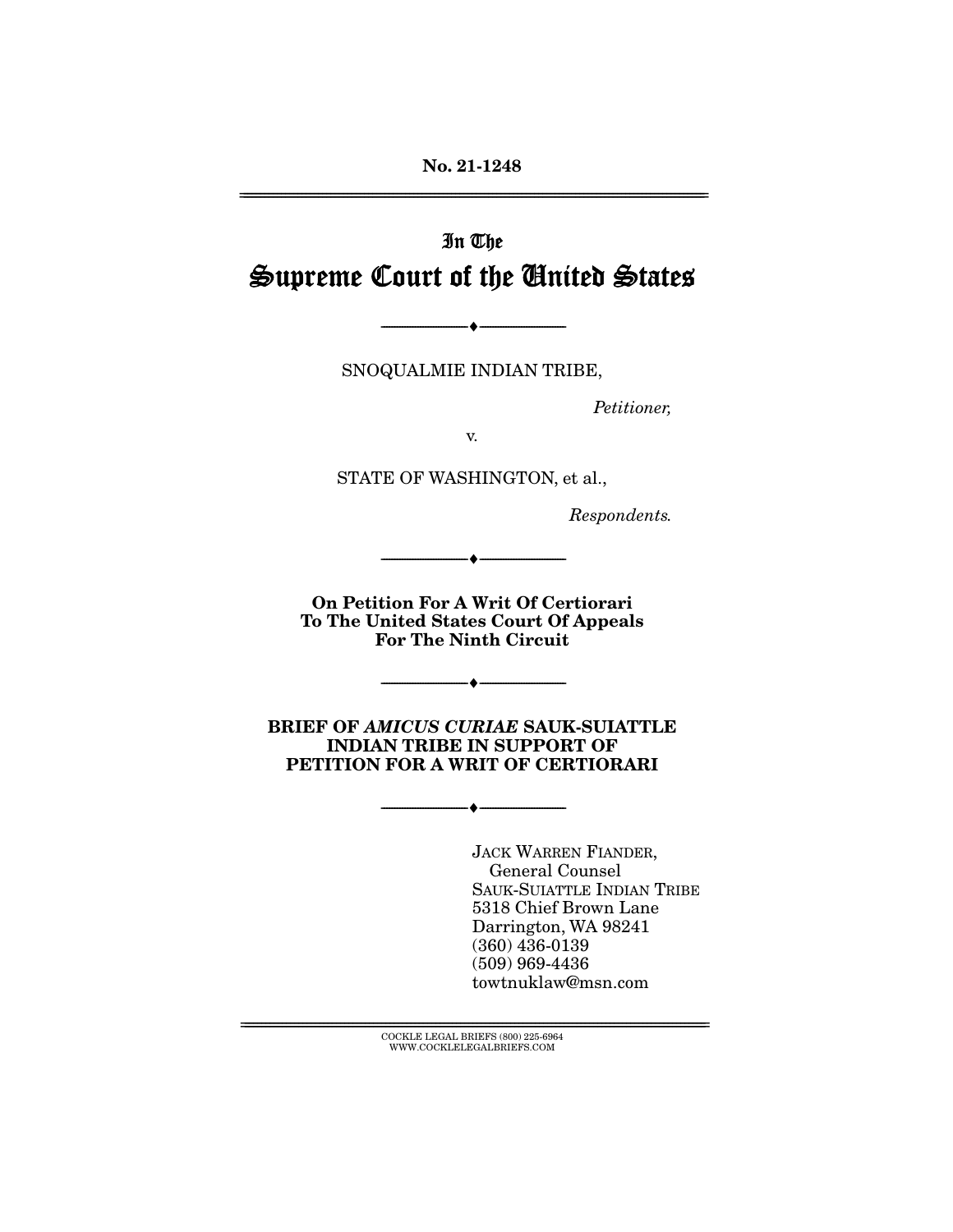**No. 21-1248** 

# In The Supreme Court of the United States

SNOQUALMIE INDIAN TRIBE,

--------------------------------- ♦ ---------------------------------

Petitioner,

STATE OF WASHINGTON, et al.,

Respondents.

**On Petition For A Writ Of Certiorari To The United States Court Of Appeals For The Ninth Circuit** 

--------------------------------- ♦ ---------------------------------

 $\overbrace{\hspace{27mm}}$   $\overbrace{\hspace{27mm}}$ 

**BRIEF OF** *AMICUS CURIAE* **SAUK-SUIATTLE INDIAN TRIBE IN SUPPORT OF PETITION FOR A WRIT OF CERTIORARI** 

--------------------------------- ♦ ---------------------------------

JACK WARREN FIANDER,<br>General Counsel SAUK-SUIATTLE INDIAN TRIBE 5318 Chief Brown Lane Darrington, WA 98241  $(360)$  436-0139  $(509)$  969-4436 towtnuklaw@msn.com towtnuklaw@msn.com

 ${COCKLE}$  LEGAL BRIEFS (800) 225-6964 WWW.COCKLELEGALBRIEFS.COM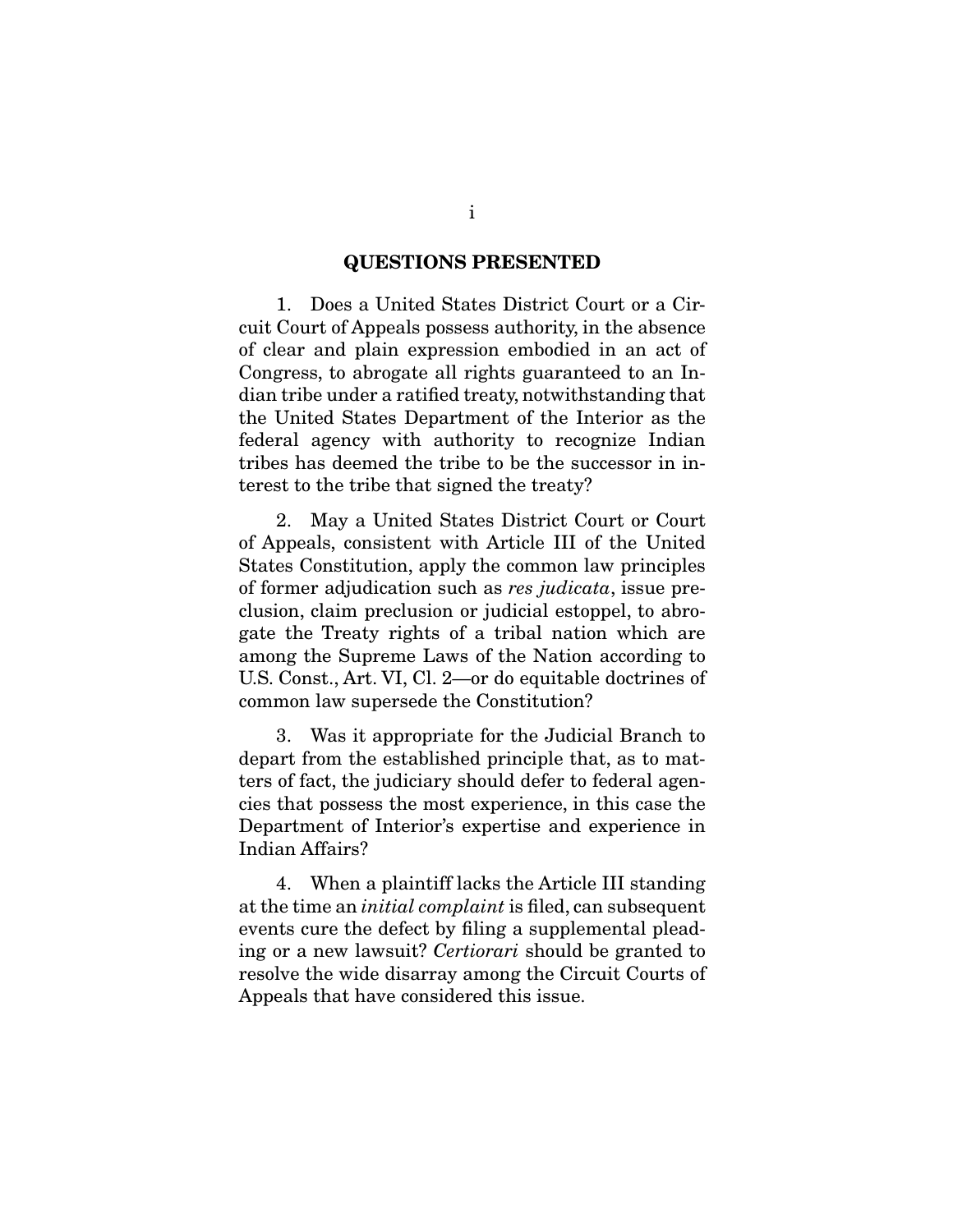#### **QUESTIONS PRESENTED**

 1. Does a United States District Court or a Cirof clear and plain expression embodied in an act of Congress, to abrogate all rights guaranteed to an Indian tribe under a ratified treaty, notwiths tanding that the United States Department of the Interior as the federal agency with authority to recognize Indian tribes has deemed the tribe to be the successor in in- $\frac{1}{2}$  terms to the tribe that signed the treaty?  $t_{\text{t}}$  the tribe that single the treaty?

 2. May a United States District Court or Court States Constitution, apply the common law principles of former adjudication such as *res judicata*, issue pre-<br>clusion, claim preclusion or judicial esteppel to abroclusion, claim preclusion or judicial estoppel, to abroamong the Supreme Laws of the Nation according to U.S. Const., Art. VI, Cl.  $2$ —or do equitable doctrines of  $U(x) = U(x) - U(x) - U(x) - U(x)$ common law supersede the Constitution?

 3. Was it appropriate for the Judicial Branch to ters of fact, the judiciary should defer to federal agencies that possess the most experience, in this case the Department of Interior's expertise and experience in Indian Affairs? Indian Affairs?

at the time an *initial complaint* is filed, can subsequent<br>events cure the defect by filing a supplemental pleading or a new lawsuit? Certiorari should be granted to<br>resolve the wide disarray among the Circuit Courts of resolve the wide disarray among the Circuit Courts of Appeals that have considered this issue. Appeals that have considered this issue.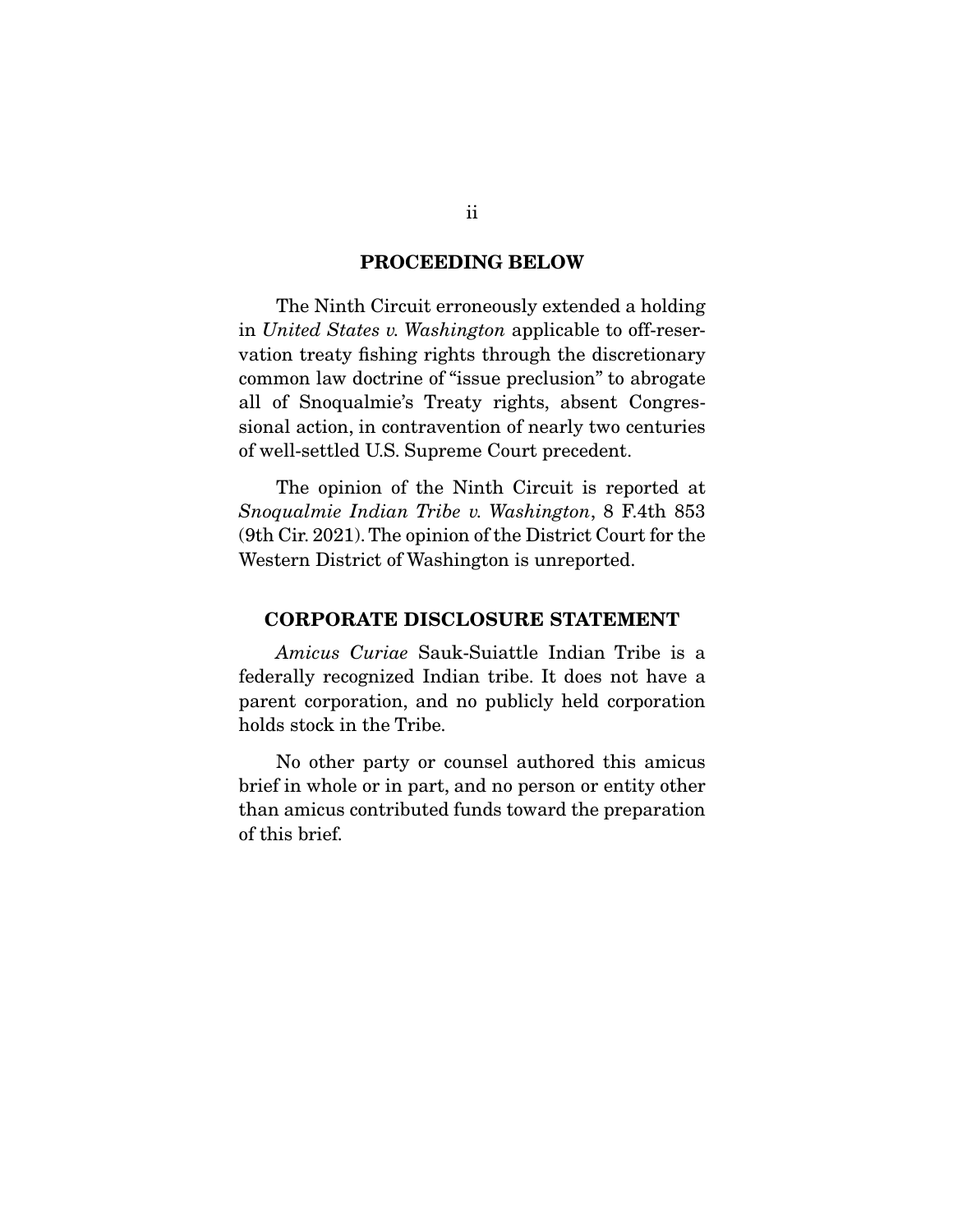#### **PROCEEDING BELOW**

In United States v. Washington applicable to off-reser-<br>votion treaty fishing rights through the discretionary vation treaty fishing rights through the discretionary<br>common law doctrine of "issue preclusion" to abrogate all of Snoqualmie's Treaty rights, absent Congressional action, in contravention of nearly two centuries  $\frac{1}{\pi}$  since  $\frac{1}{\pi}$  in contravention of  $\frac{1}{\pi}$  contraversed on  $\frac{1}{\pi}$ of well-settled U.S. Supreme Court precedent.

 $Snoqualmie Indian Triple v. Washington, 8 F.4th 853$ <br>(9th Cir. 2021) The opinion of the District Court for the  $W_{\alpha}$  Court Court  $\Gamma$  Court contract  $\Gamma$  $\mathcal{C}$  and  $\mathcal{C}$  are positive is unreported.

### **CORPORATE DISCLOSURE STATEMENT**

Amicus Curiae Sauk-Suiattle Indian Tribe is a federally recognized Indian tribe. It does not have a parent corporation, and no publicly held corporation holds stock in the Tribe. holds stock in the Tribe.

No other party or counsel authored this amicus<br>brief in whole or in part, and no person or entity other  $\frac{1}{2}$  is an  $\frac{1}{2}$  in the  $\frac{1}{2}$  in  $\frac{1}{2}$  in  $\frac{1}{2}$  is an  $\frac{1}{2}$  in  $\frac{1}{2}$  is an  $\frac{1}{2}$  is an  $\frac{1}{2}$  is an  $\frac{1}{2}$  is an  $\frac{1}{2}$  is an  $\frac{1}{2}$  is an  $\frac{1}{2}$  is an  $\frac{1}{2}$  is an  $\frac{1$  $\frac{1}{\pi}$  than a microcontributed to  $\frac{1}{\pi}$  the present the present the present the present the present the present the present of  $\frac{1}{\pi}$ of this brief.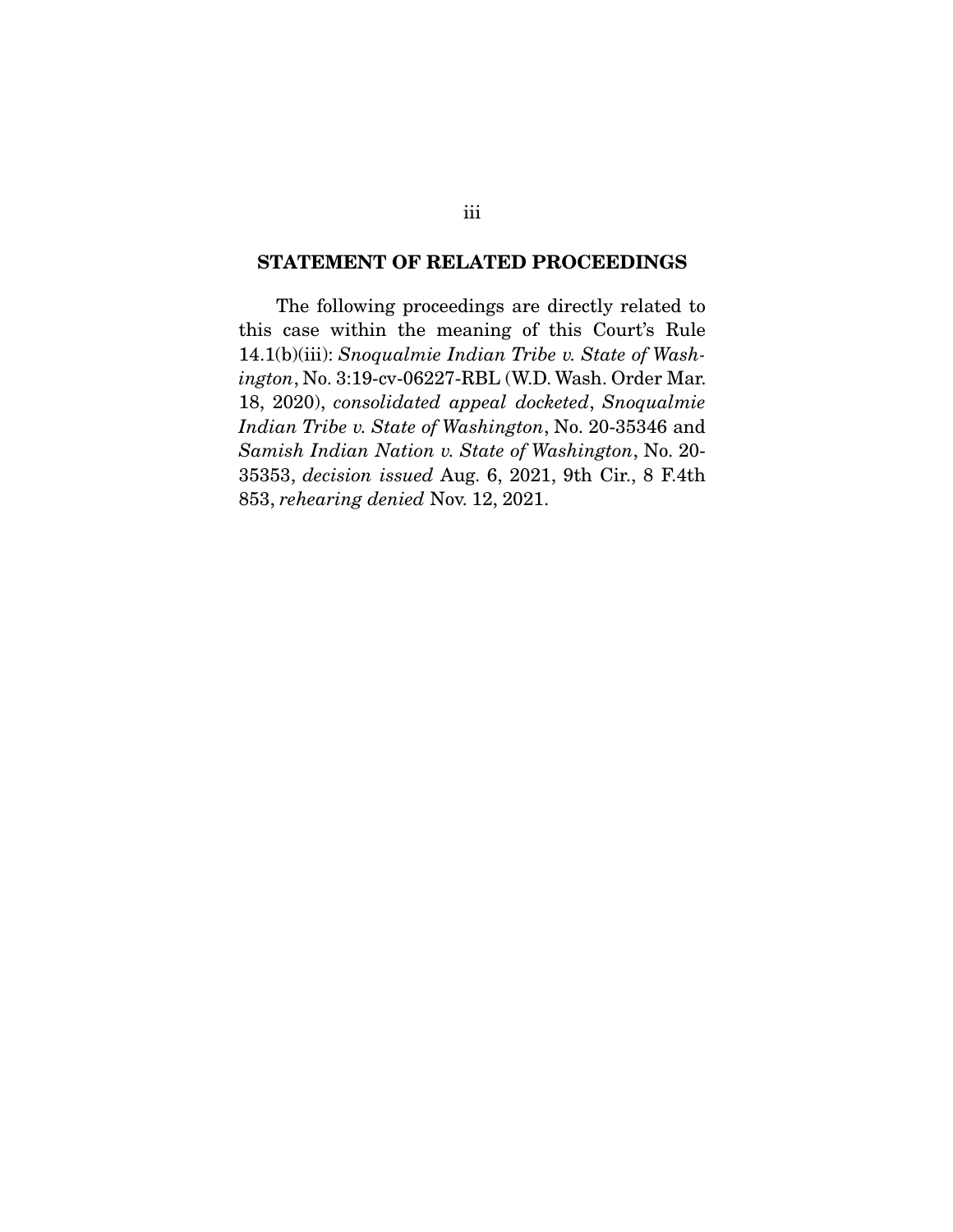#### **STATEMENT OF RELATED PROCEEDINGS**

The following proceedings are directly related to this case within the meaning of this Court's Rule 14.1(b)(iii): Snoqualmie Indian Tribe v. State of Wash-<br>instan No. 3:19 av 06227 BBL (WD Wash-Order Mar ington, No. 3:19-cv-06227-RBL (W.D. Wash. Order Mar. 18, 2020), consolidated appeal docketed, Snoqualmie Indian Tribe v. State of Washington, No. 20-35346 and Samish Indian Nation v. State of Washington, No. 20- 35353, decision issued Aug. 6, 2021, 9th Cir., 8 F.4th 853, rehearing denied Nov. 12, 2021.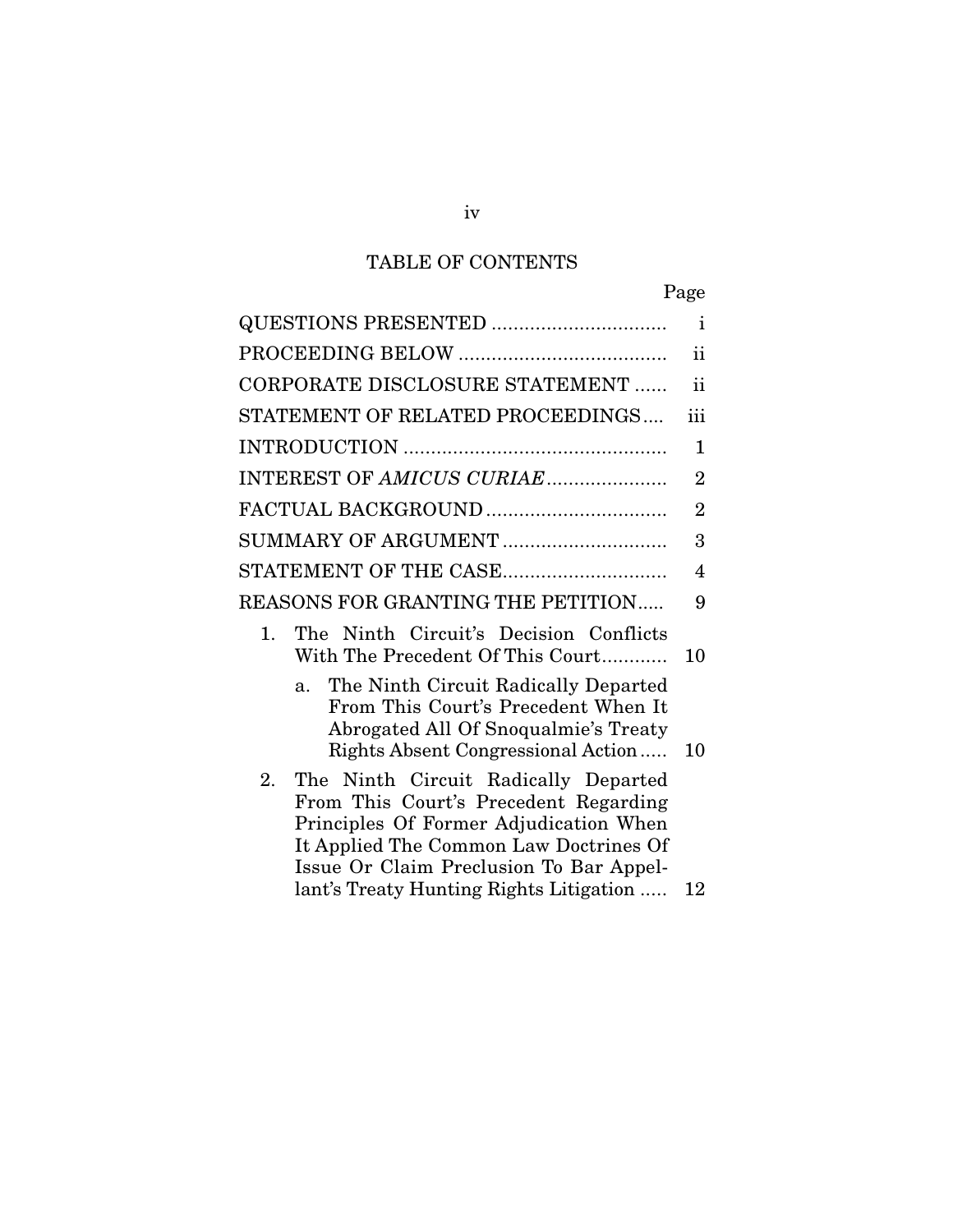## TABLE OF CONTENTS

|                                                                                                                                                                         | $\mathbf{i}$   |
|-------------------------------------------------------------------------------------------------------------------------------------------------------------------------|----------------|
|                                                                                                                                                                         | ii             |
| CORPORATE DISCLOSURE STATEMENT                                                                                                                                          | $\mathbf{ii}$  |
| STATEMENT OF RELATED PROCEEDINGS                                                                                                                                        | iii            |
|                                                                                                                                                                         | $\mathbf{1}$   |
| INTEREST OF AMICUS CURIAE                                                                                                                                               | $\overline{2}$ |
| FACTUAL BACKGROUND                                                                                                                                                      | $\overline{2}$ |
| SUMMARY OF ARGUMENT                                                                                                                                                     | 3              |
| STATEMENT OF THE CASE                                                                                                                                                   | $\overline{4}$ |
| <b>REASONS FOR GRANTING THE PETITION</b>                                                                                                                                | 9              |
| The Ninth Circuit's Decision Conflicts<br>1.<br>With The Precedent Of This Court                                                                                        | 10             |
| The Ninth Circuit Radically Departed<br>a.<br>From This Court's Precedent When It<br>Abrogated All Of Snoqualmie's Treaty<br>Rights Absent Congressional Action         | 10             |
| 2.<br>The Ninth Circuit Radically Departed<br>From This Court's Precedent Regarding<br>Principles Of Former Adjudication When<br>It Applied The Common Law Doctrines Of |                |
| Issue Or Claim Preclusion To Bar Appel-<br>lant's Treaty Hunting Rights Litigation                                                                                      | 12             |

lanting  $\mathcal{L}_{\mathcal{G}}$  is  $\mathcal{L}_{\mathcal{G}}$  and  $\mathcal{L}_{\mathcal{G}}$  .... 122 minutes  $\mathcal{L}_{\mathcal{G}}$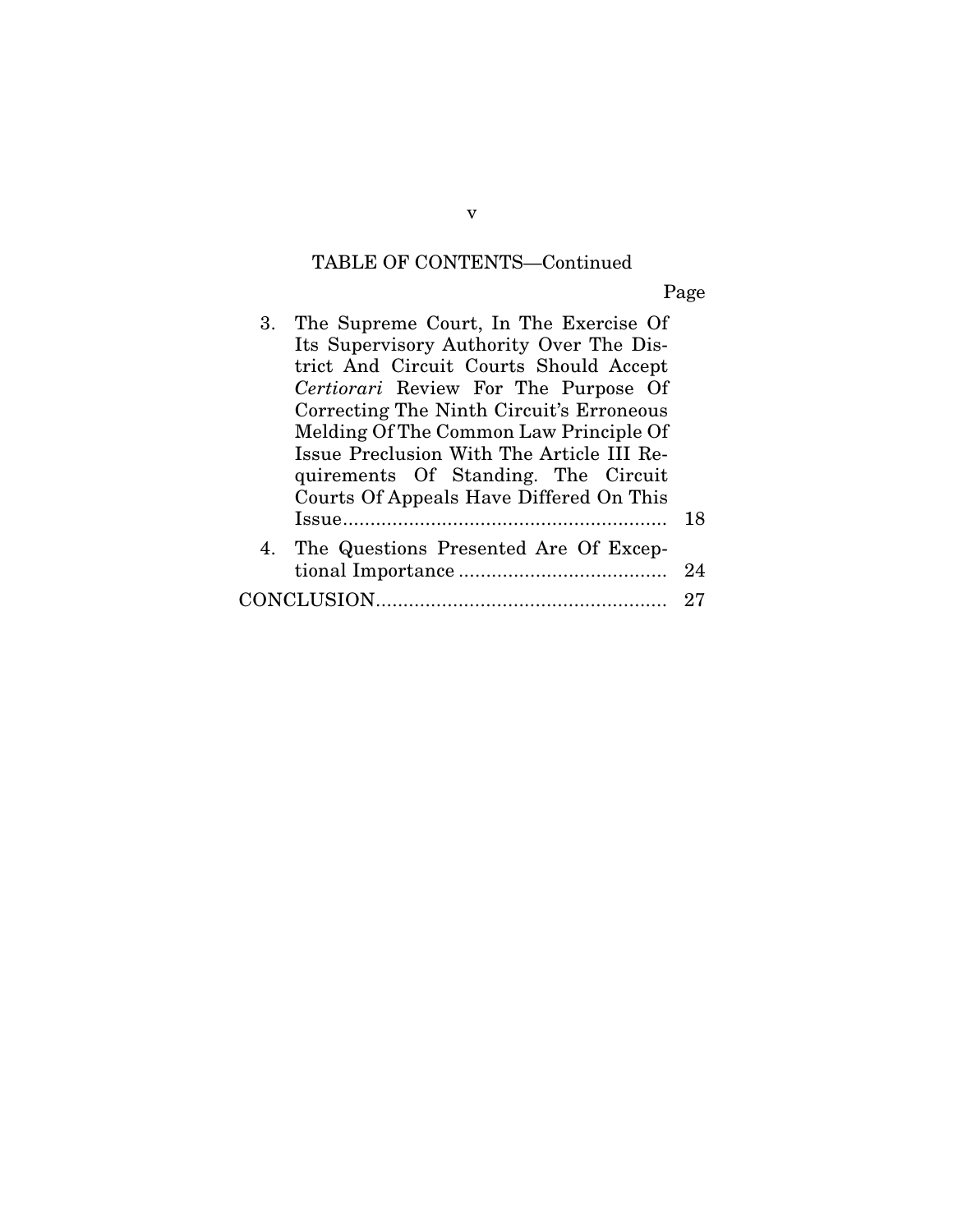# TABLE OF CONTENTS—Continued

Page

| 3. The Supreme Court, In The Exercise Of  |    |
|-------------------------------------------|----|
| Its Supervisory Authority Over The Dis-   |    |
| trict And Circuit Courts Should Accept    |    |
| Certiorari Review For The Purpose Of      |    |
| Correcting The Ninth Circuit's Erroneous  |    |
| Melding Of The Common Law Principle Of    |    |
| Issue Preclusion With The Article III Re- |    |
| quirements Of Standing. The Circuit       |    |
| Courts Of Appeals Have Differed On This   |    |
|                                           | 18 |
| 4. The Questions Presented Are Of Excep-  |    |
|                                           | 24 |
|                                           | 27 |
|                                           |    |

v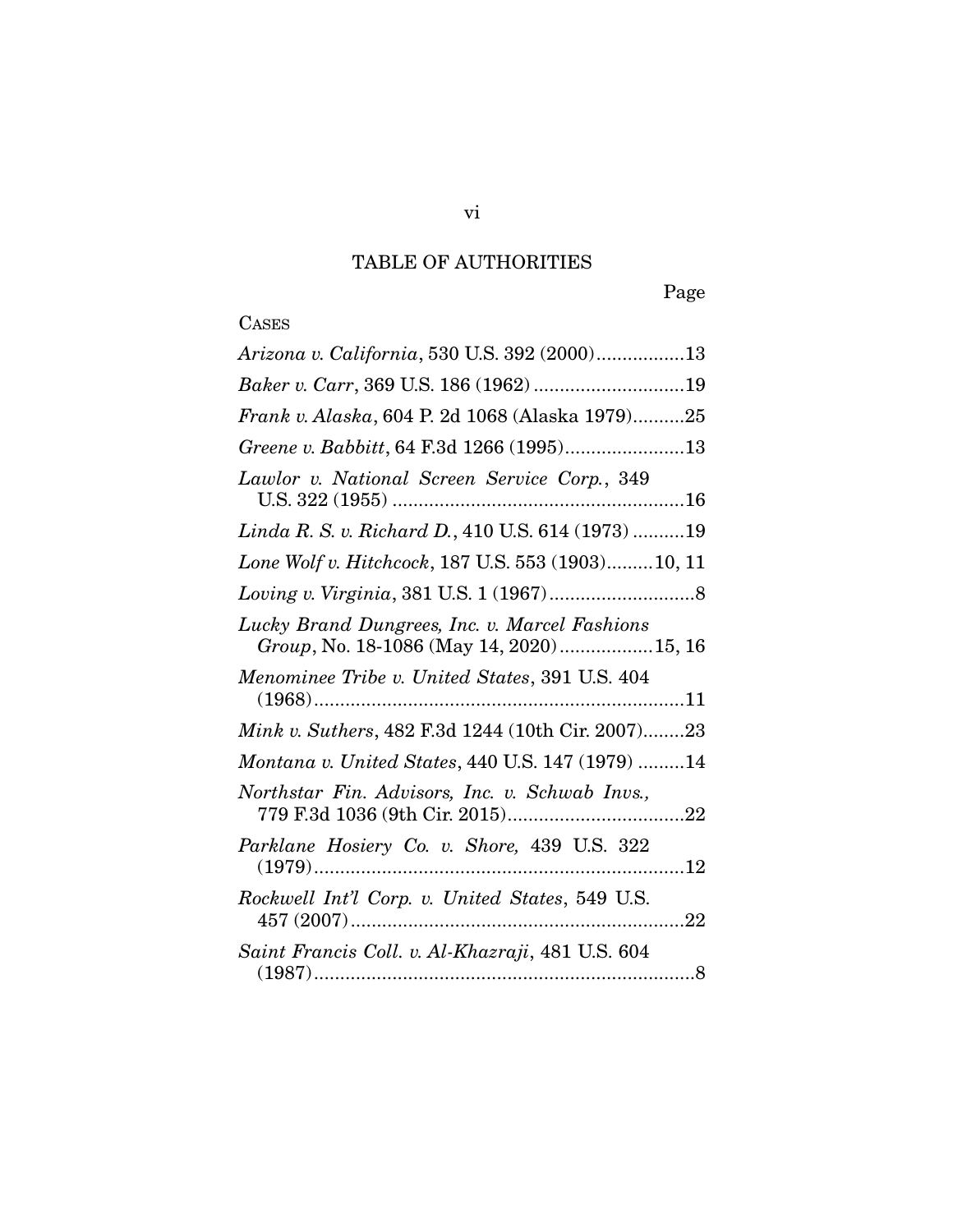# TABLE OF AUTHORITIES

Page

# **CASES**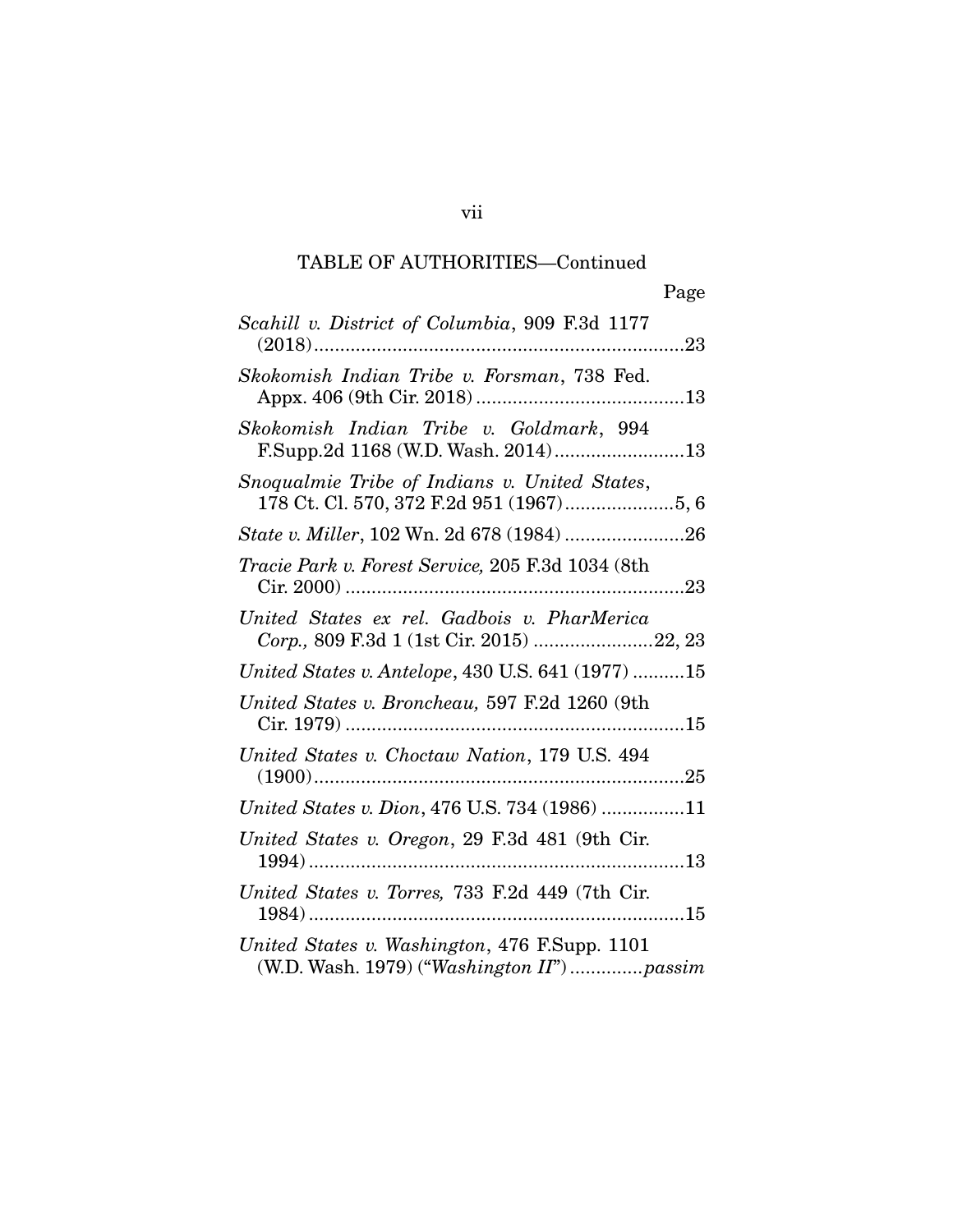## TABLE OF AUTHORITIES—Continued

| Scahill v. District of Columbia, 909 F.3d 1177                                             |
|--------------------------------------------------------------------------------------------|
| Skokomish Indian Tribe v. Forsman, 738 Fed.                                                |
| Skokomish Indian Tribe v. Goldmark, 994<br>F.Supp.2d 1168 (W.D. Wash. 2014)13              |
| Snoqualmie Tribe of Indians v. United States,                                              |
| State v. Miller, 102 Wn. 2d 678 (1984) 26                                                  |
| Tracie Park v. Forest Service, 205 F.3d 1034 (8th                                          |
| United States ex rel. Gadbois v. PharMerica<br>Corp., 809 F.3d 1 (1st Cir. 2015) 22, 23    |
| United States v. Antelope, 430 U.S. 641 (1977) 15                                          |
| United States v. Broncheau, 597 F.2d 1260 (9th                                             |
| United States v. Choctaw Nation, 179 U.S. 494                                              |
| United States v. Dion, 476 U.S. 734 (1986) 11                                              |
| United States v. Oregon, 29 F.3d 481 (9th Cir.                                             |
| United States v. Torres, 733 F.2d 449 (7th Cir.                                            |
| United States v. Washington, 476 F.Supp. 1101<br>(W.D. Wash. 1979) ("Washington II")passim |
|                                                                                            |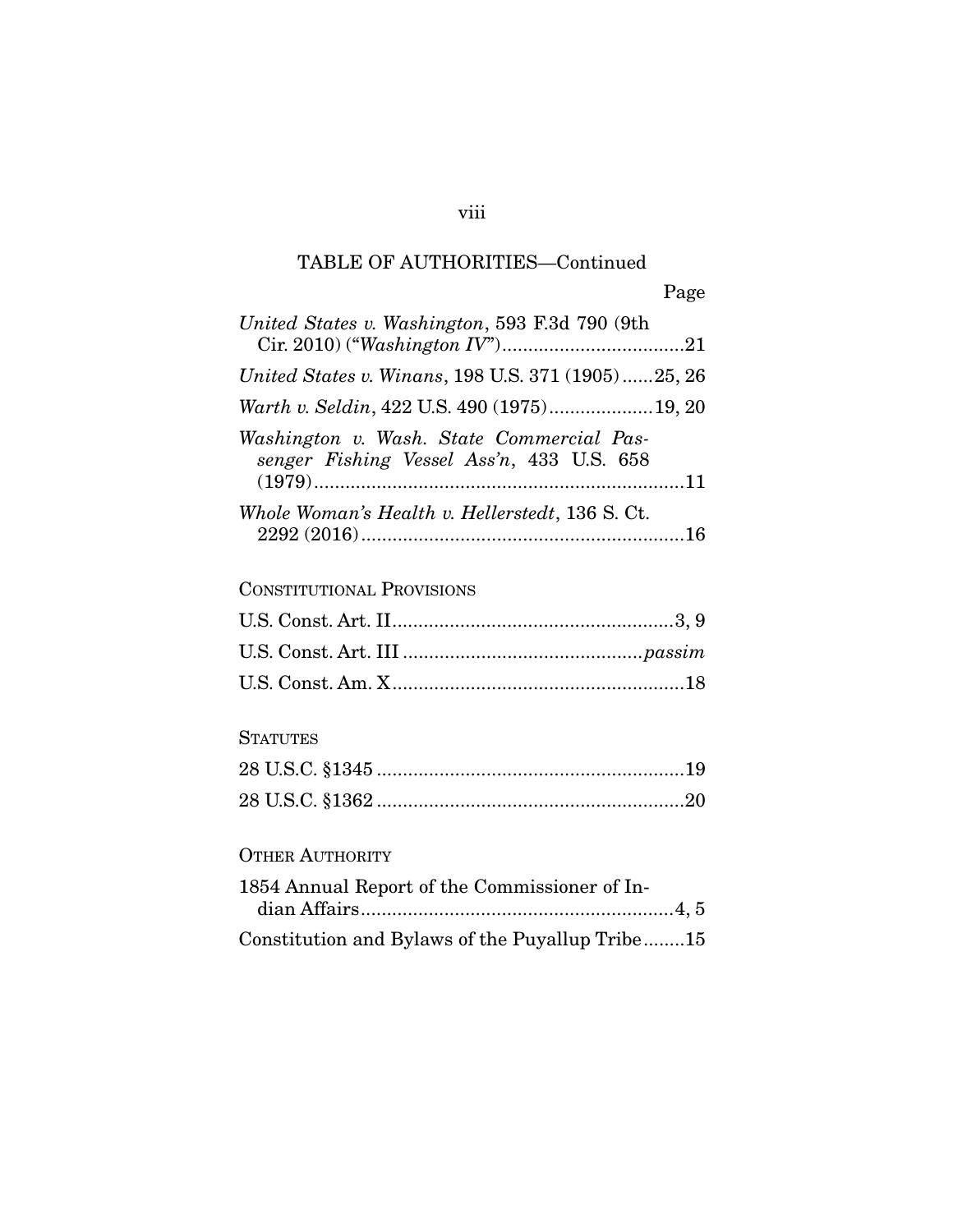## TABLE OF AUTHORITIES—Continued

viii

| United States v. Washington, 593 F.3d 790 (9th                                         |
|----------------------------------------------------------------------------------------|
|                                                                                        |
| United States v. Winans, 198 U.S. 371 (1905)25, 26                                     |
| Warth v. Seldin, 422 U.S. 490 (1975)19, 20                                             |
| Washington v. Wash. State Commercial Pas-<br>senger Fishing Vessel Ass'n, 433 U.S. 658 |
| Whole Woman's Health v. Hellerstedt, 136 S. Ct.                                        |
| <b>CONSTITUTIONAL PROVISIONS</b>                                                       |
|                                                                                        |
|                                                                                        |
|                                                                                        |
|                                                                                        |

# STATUTES STATUTES<br>STATUTES STATUTES

# OTHER AUTHORITY

| 1854 Annual Report of the Commissioner of In-   |  |
|-------------------------------------------------|--|
|                                                 |  |
| Constitution and Bylaws of the Puyallup Tribe15 |  |
|                                                 |  |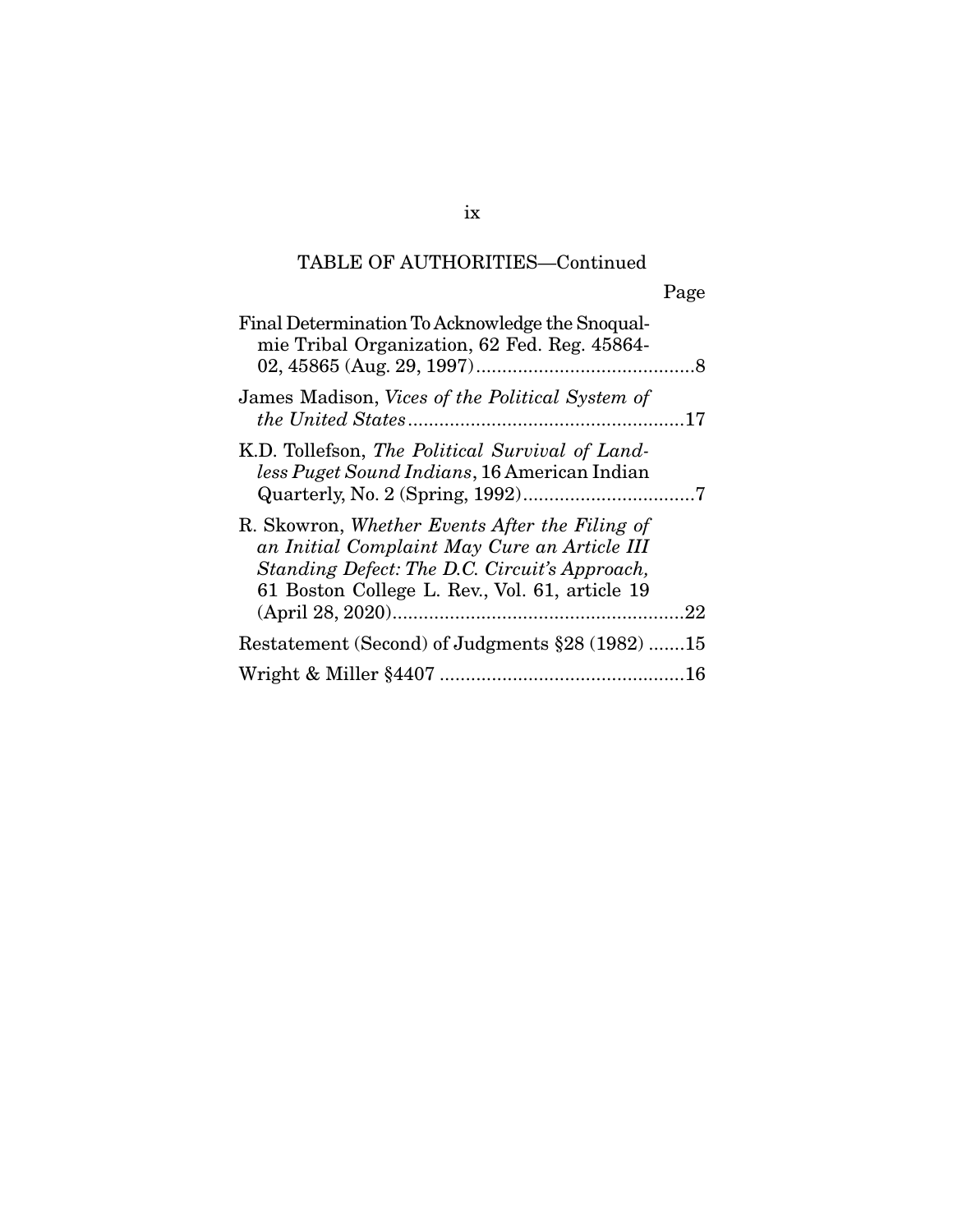## TABLE OF AUTHORITIES—Continued

|                                                                                                                                                                                                   | Page |
|---------------------------------------------------------------------------------------------------------------------------------------------------------------------------------------------------|------|
| Final Determination To Acknowledge the Snoqual-<br>mie Tribal Organization, 62 Fed. Reg. 45864-                                                                                                   |      |
| James Madison, Vices of the Political System of                                                                                                                                                   |      |
| K.D. Tollefson, The Political Survival of Land-<br>less Puget Sound Indians, 16 American Indian                                                                                                   |      |
| R. Skowron, Whether Events After the Filing of<br>an Initial Complaint May Cure an Article III<br>Standing Defect: The D.C. Circuit's Approach,<br>61 Boston College L. Rev., Vol. 61, article 19 |      |
| Restatement (Second) of Judgments §28 (1982) 15                                                                                                                                                   |      |
| Wright & Miller 84407                                                                                                                                                                             | 16   |

Wright & Miller §4407 ............................................... 16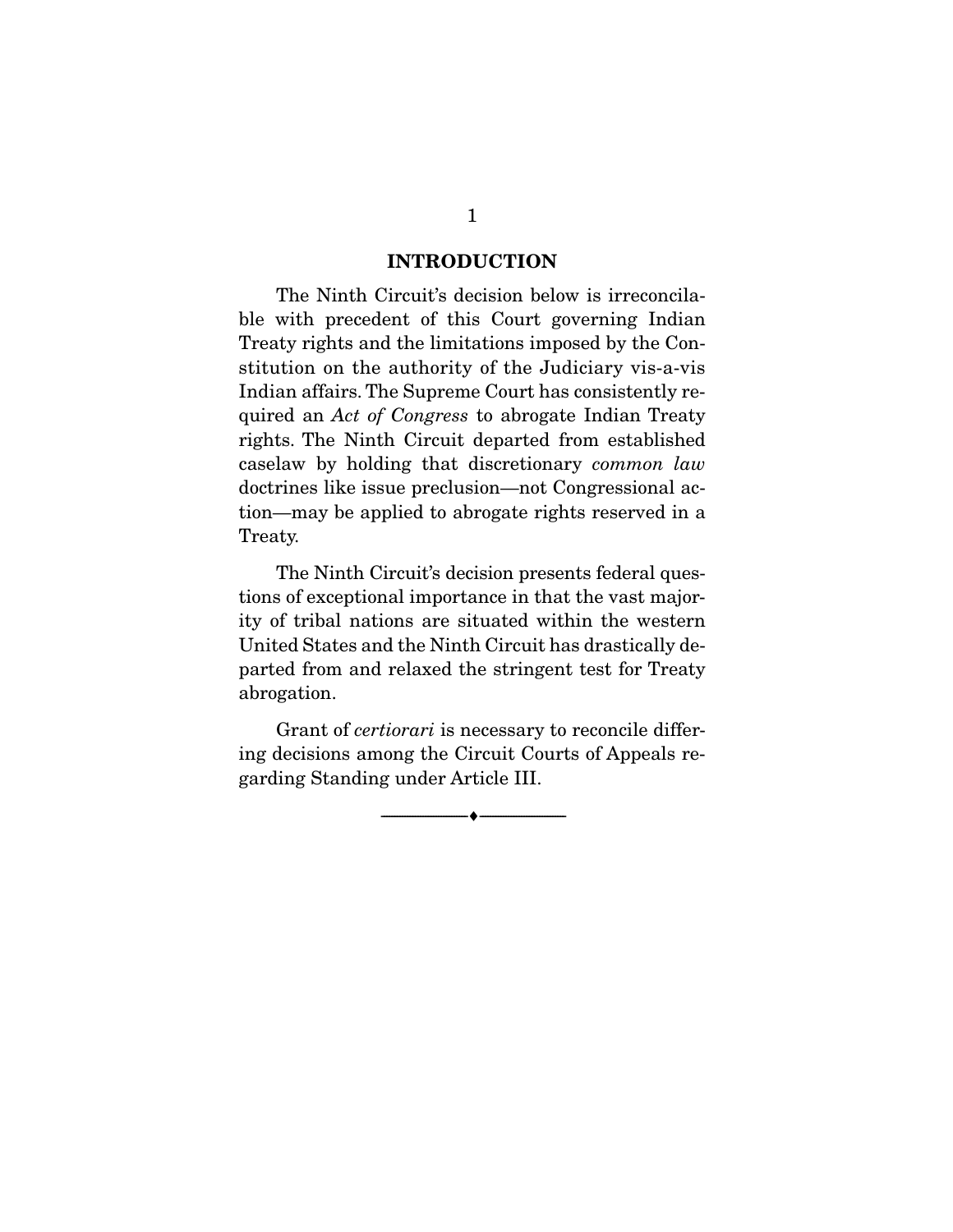### **INTRODUCTION**

The Ninth Circuit's decision below is irreconcilable with precedent of this Court governing Indian Treaty rights and the limitations imposed by the Constitution on the authority of the Judiciary vis-a-vis Indian affairs. The Supreme Court has consistently required an Act of Congress to abrogate Indian Treaty<br>rights. The Ninth Circuit departed from established rights. The Ninth Circuit departed from established caselaw by holding that discretionary *common law*<br>decrrings like issue proclusion and Congressional ac- $\frac{d}{dx}$  is a subset of  $\frac{d}{dx}$  is the congression  $\frac{d}{dx}$  is a congression  $\frac{d}{dx}$ tion—may be applied to abrogate rights reserved in an  $\overline{\phantom{a}}$ 

The Ninth Circuit's decision presents federal questions of exceptional importance in that the vast majority of tribal nations are situated within the western United States and the Ninth Circuit has drastically de-United States and the Ninth Circuit Limit Circuit departed the stringent test for Treaty abrogation.

Grant of *certiorari* is necessary to reconcile differ-<br>ing decisions among the Circuit Courts of Appeals regarding Standing under Article III.  $\beta$ <sup>nd</sup>  $\beta$  is the  $\alpha$ -g  $\beta$  model II.

 $\overbrace{\hspace{2.5cm}}$   $\overbrace{\hspace{2.5cm}}$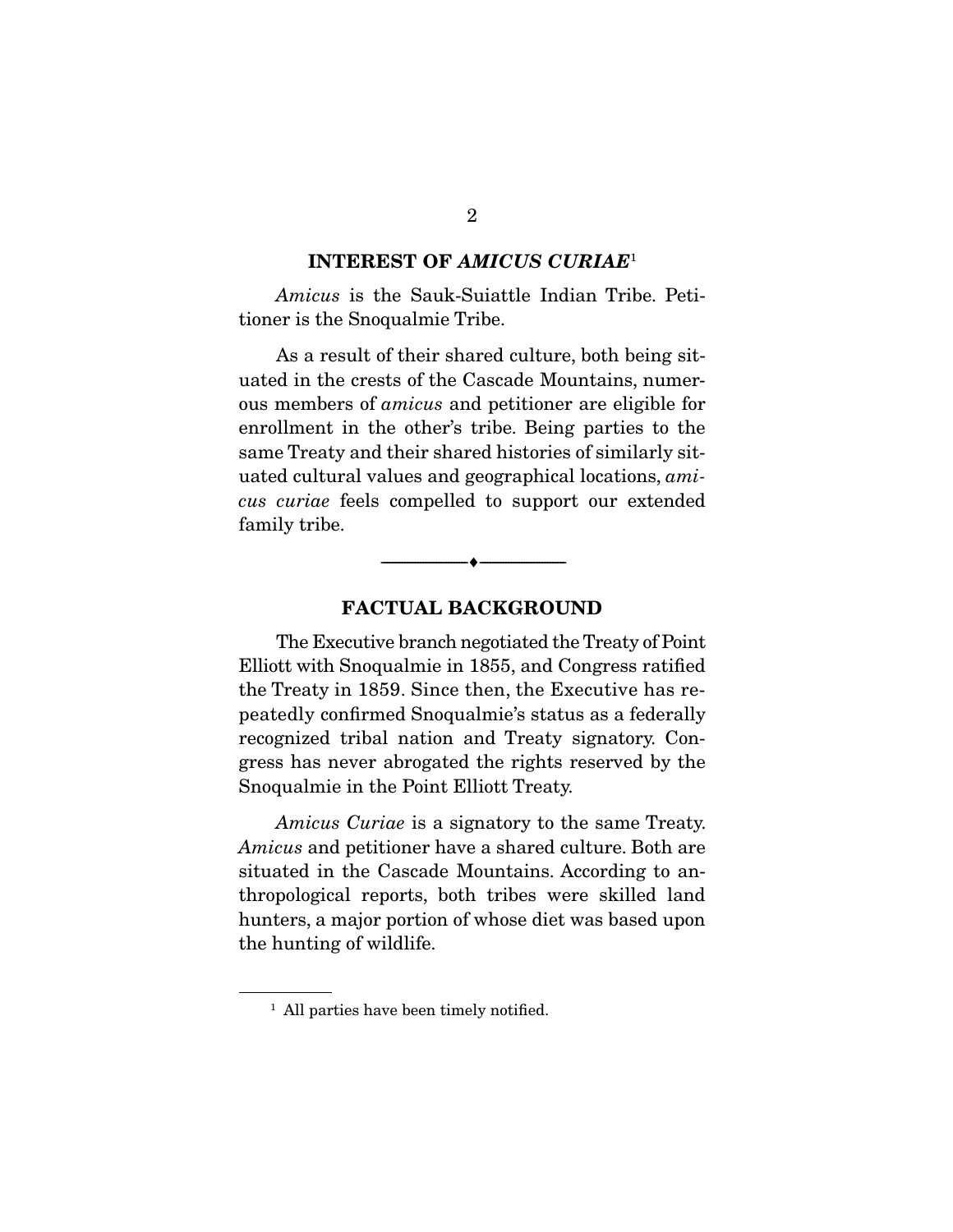### **INTEREST OF** *AMICUS CURIAE*1

Amicus is the Sauk-Suiattle Indian Tribe. Petitioner is the Snoqualmie Tribe. tioner is the Snoqualmie Tribe.

As a result of their shared culture, both being sit-<br>uated in the crests of the Cascade Mountains, numerous members of *amicus* and petitioner are eligible for enrollment in the other's tribe. Being parties to the same Treaty and their shared histories of similarly situated cultural values and geographical locations, amicus curiae feels compelled to support our extended family tribe. family tribe.

### **FACTUAL BACKGROUND**

 $\overbrace{\hspace{2.5cm}}$   $\overbrace{\hspace{2.5cm}}$ 

The Executive branch negotiated the Treaty of Point<br>Elliott with Snoqualmie in 1855, and Congress ratified the Treaty in 1859. Since then, the Executive has repeatedly confirmed Snoqualmie's status as a federally recognized tribal nation and Treaty signatory. Congress has never abrogated the rights reserved by the gress has never abrogated the rights reserved by the Snoqualmie in the Point Elliott Treaty.

Amicus Curiae is a signatory to the same Treaty. Amicus and petitioner have a shared culture. Both are situated in the Cascade Mountains. According to anthropological reports, both tribes were skilled land hunters, a major portion of whose diet was based upon  $\frac{1}{\sqrt{2}}$  the hunting of wildlife  $\frac{1}{\sqrt{2}}$ 

### $\overline{2}$

<sup>&</sup>lt;sup>1</sup> All parties have been timely notified.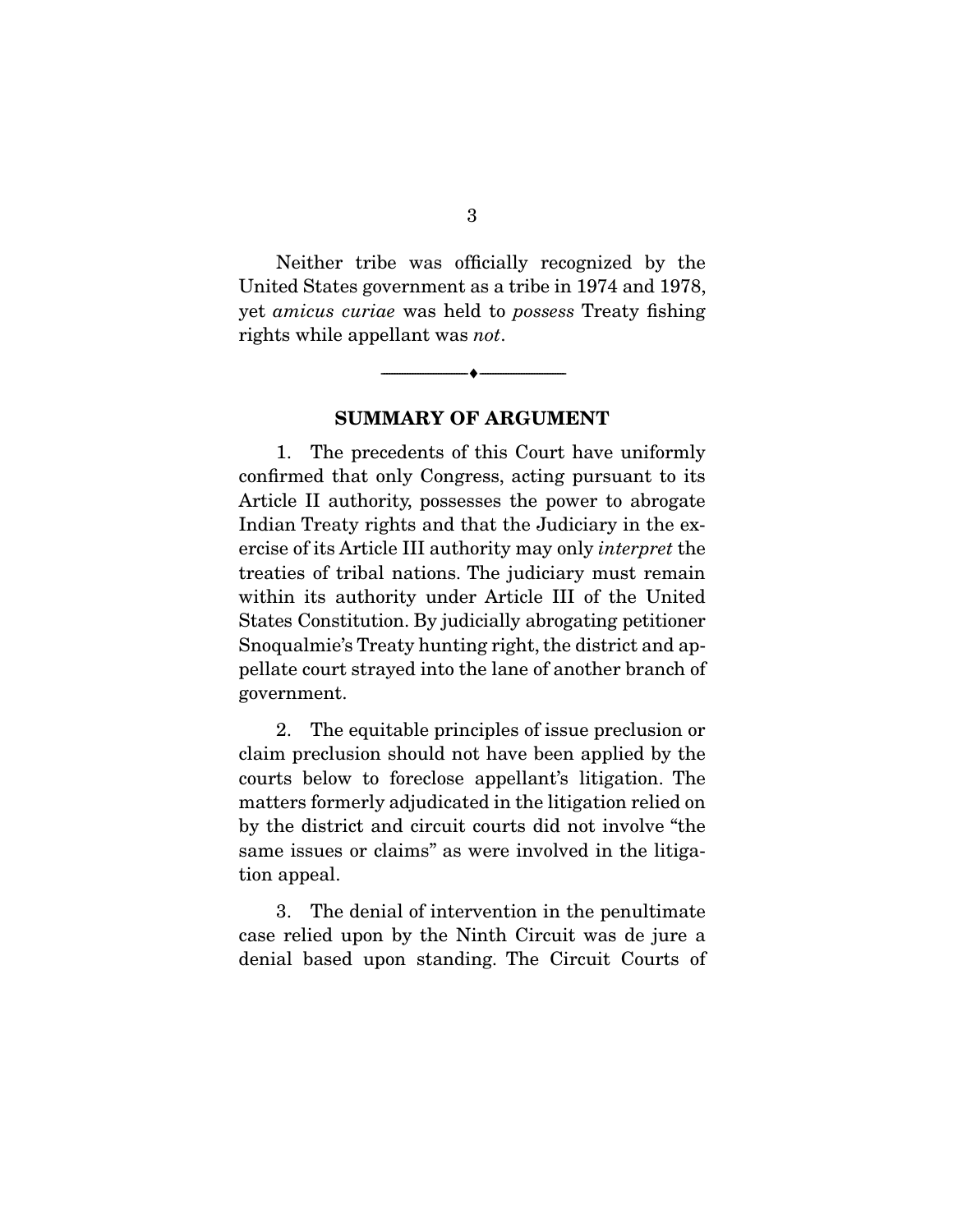Neither tribe was officially recognized by the United States government as a tribe in 1974 and 1978, yet *amicus curiae* was held to *possess* Treaty fishing rights while appellant was not.

**SUMMARY OF ARGUMENT** 

 $\overbrace{\hspace{2.5cm}}$   $\overbrace{\hspace{2.5cm}}$ 

1. The precedents of this Court have uniformly confirmed that only Congress, acting pursuant to its Article II authority, possesses the power to abrogate Indian Treaty rights and that the Judiciary in the exercise of its Article III authority may only *interpret* the treation of tribal pations. The indiciary must remain treaties of tribal nations. The judiciary must remain States Constitution. By judicially abrogating petitioner Snoqualmie's Treaty hunting right, the district and appellate court strayed into the lane of another branch of government. government.

2. The equitable principles of issue preclusion or claim preclusion should not have been applied by the 2. courts below to foreclose appellant's litigation. The matters formerly adjudicated in the litigation relied on by the district and circuit courts did not involve "the same issues or claims" as were involved in the litigasame issues or claims" as were involved in the litigation appeal.

3. The denial of intervention in the penultimate case relied upon by the Ninth Circuit was de jure a denial based upon standing. The Circuit Courts of  $\mathbf{d}$  based upon standing. The Circuit Courts of Circuit Courts of  $\mathbf{d}$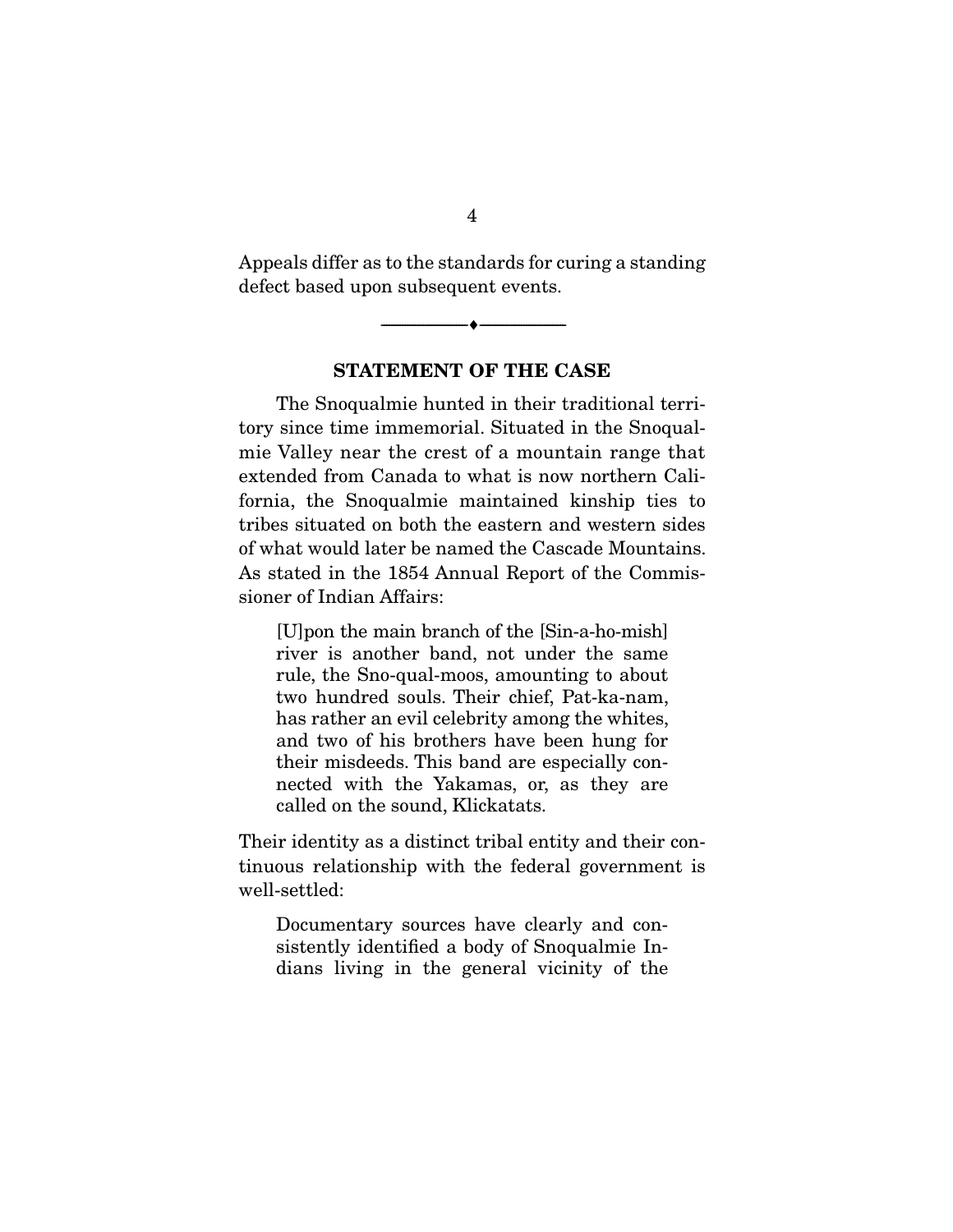Appeals differ as to the standards for curing a standing<br>defect based upon subsequent events.  $\mathbf{d}$  becomes upon subsequent events.

**STATEMENT OF THE CASE** 

 $\overbrace{\hspace{2.5cm}}$   $\overbrace{\hspace{2.5cm}}$ 

The Snoqualmie hunted in their traditional terri-<br>tory since time immemorial. Situated in the Snoqualmie Valley near the crest of a mountain range that extended from Canada to what is now northern California, the Snoqualmie maintained kinship ties to tribes situated on both the eastern and western sides of what would later be named the Cascade Mountains. As stated in the 1854 Annual Report of the Commissioner of Indian Affairs: sioner of Indian Affairs:

[U]pon the main branch of the [Sin-a-ho-mish] rule, the Sno-qual-moos, amounting to about two hundred souls. Their chief, Pat-ka-nam, has rather an evil celebrity among the whites, and two of his brothers have been hung for their misdeeds. This band are especially connected with the Yakamas, or, as they are called on the sound, Klickatats. called on the sound, Klickatats.

Their identity as a distinct tribal entity and their continuous relationship with the federal government is well-settled:  $\cdots$  and  $\cdots$  and  $\cdots$ 

Documentary sources have clearly and consistently identified a body of Snoqualmie Indians living in the general vicinity of the  $\frac{d}{dx}$  is the general vicinity of the  $\frac{d}{dx}$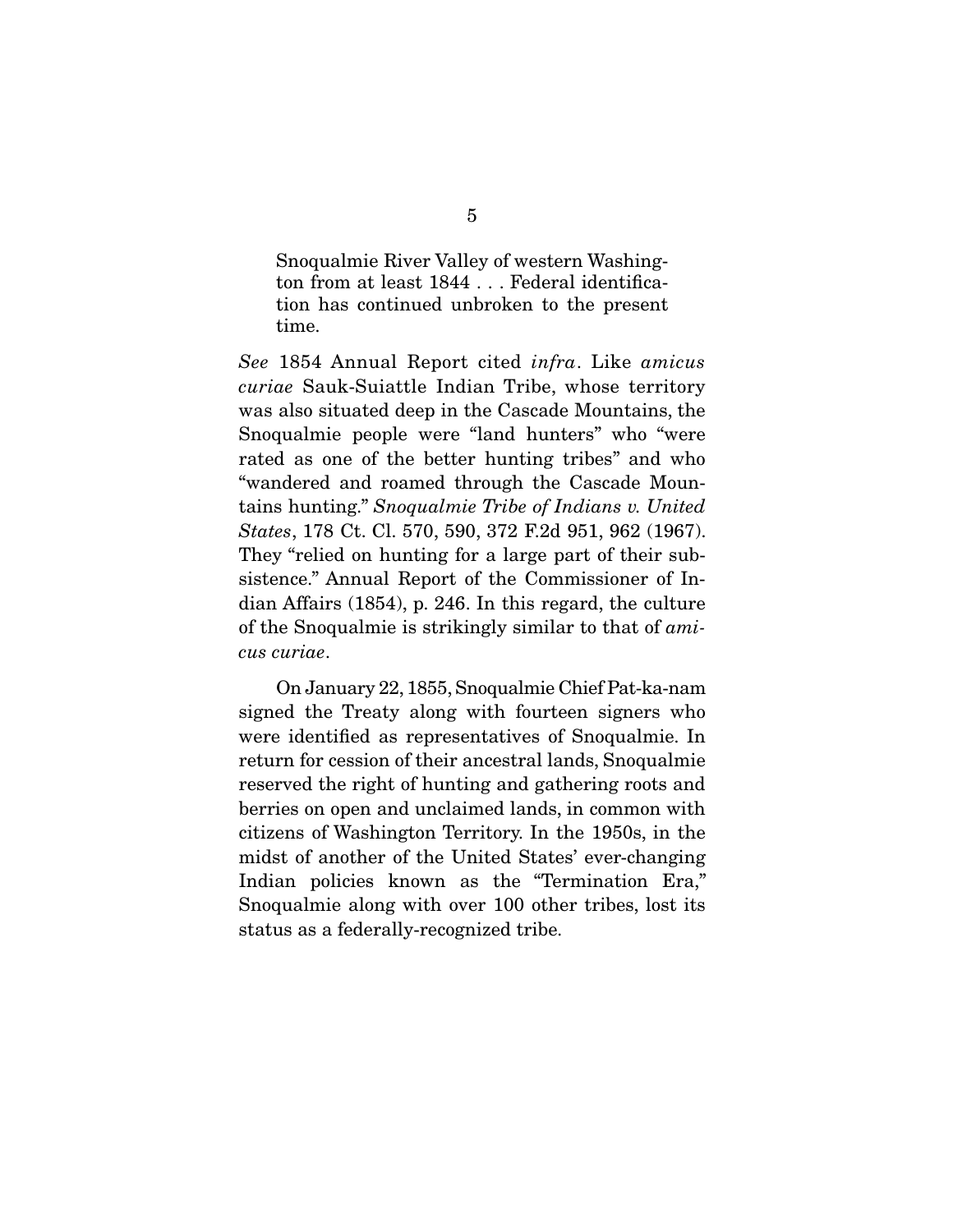Snoqualmie River Valley of western Washing-<br>ton from at least 1844 . . . Federal identification has continued unbroken to the present tion has continued unbroken to the present time.

See 1854 Annual Report cited infra. Like amicus curiae Sauk-Suiattle Indian Tribe, whose territory<br>was also situated deep in the Cascade Mountains, the Snoqualmie people were "land hunters" who "were rated as one of the better hunting tribes" and who "wandered and roamed through the Cascade Mountains hunting." Snoqualmie Tribe of Indians v. United<br>States 178 Ct. Cl. 570, 590, 372 F.24 951, 962 (1967) States, 178 Ct. Cl. 570, 590, 372 F.2d 951, 962 (1967).<br>They "relied on hunting for a large part of their subsistence." Annual Report of the Commissioner of Indian Affairs  $(1854)$ , p. 246. In this regard, the culture of the Snoqualmie is strikingly similar to that of  $ami$ cus curiae.

 On January 22, 1855, Snoqualmie Chief Pat-ka-nam were identified as representatives of Snoqualmie. In return for cession of their ancestral lands, Snoqualmie. reserved the right of hunting and gathering roots and berries on open and unclaimed lands, in common with citizens of Washington Territory. In the 1950s, in the midst of another of the United States' ever-changing Indian policies known as the "Termination Era," Snoqualmie along with over 100 other tribes, lost its  $S_{\text{S}}$  is a  $\frac{1}{2}$  of  $\frac{1}{2}$  or  $\frac{1}{2}$  or  $\frac{1}{2}$  or  $\frac{1}{2}$  or  $\frac{1}{2}$  or  $\frac{1}{2}$  or  $\frac{1}{2}$  or  $\frac{1}{2}$  or  $\frac{1}{2}$  or  $\frac{1}{2}$  or  $\frac{1}{2}$  or  $\frac{1}{2}$  or  $\frac{1}{2}$  or  $\frac{1}{2}$  or  $\frac{1}{2}$  o status as a federally-recognized tribe.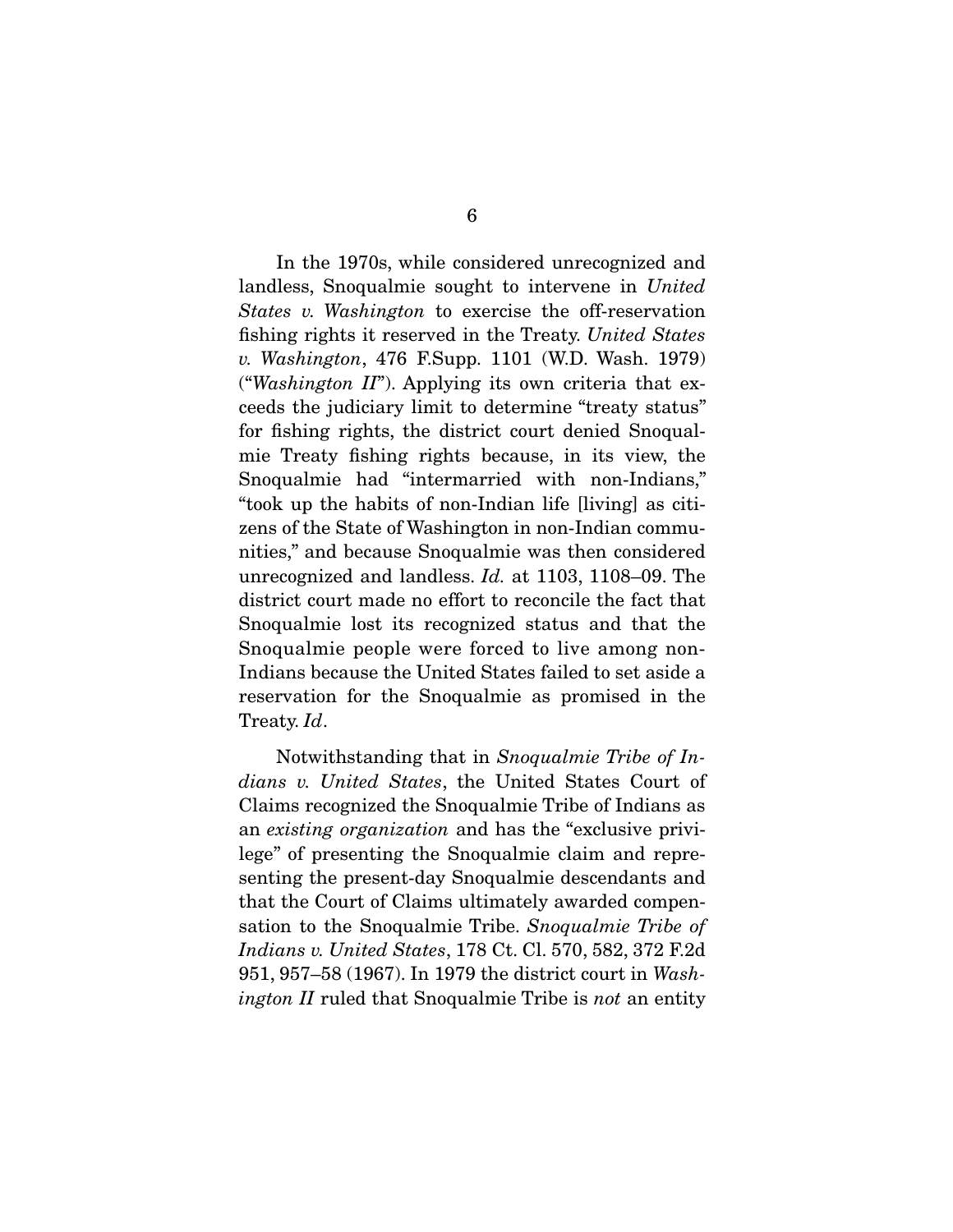landless, Snoqualmie sought to intervene in United  $S$ States v. Washington to exercise the off-reservation fishing rights it reserved in the Treaty. United States v. Washington, 476 F.Supp. 1101 (W.D. Wash. 1979) ("Washington  $II$ "). Applying its own criteria that exceeds the judiciary limit to determine "treaty status" for fishing rights, the district court denied Snoqualmie Treaty fishing rights because, in its view, the Snoqualmie had "intermarried with non-Indians," "took up the habits of non-Indian life [living] as citizens of the State of Washington in non-Indian communities," and because Snoqualmie was then considered unrecognized and landless.  $Id$ . at 1103, 1108–09. The district court made no effort to reconcile the fact that<br>Snoqualmie lost its recognized status and that the Snoqualmie people were forced to live among non-Indians because the United States failed to set aside a reservation for the Snoqualmie as promised in the  $r_{\text{r}}$  as  $r_{\text{r}}$  as  $r_{\text{r}}$  as propinting in the Sno $\alpha$ Treaty. Id.

 Notwithstanding that in Snoqualmie Tribe of Indians v. United States, the United States Court of Claims recognized the Snoqualmie Tribe of Indians as France recognized the Snoqualmic Tribe of Indians as<br>an existing organization and has the "exclusive privi-<br>logo" of prosenting the Snoqualmie claim and ropre lege" of presenting the Snoqualmie claim and representing the present-day Snoqualmie descendants and that the Court of Claims ultimately awarded compensation to the Snoqualmie Tribe. Snoqualmie Tribe of  $r_{\text{rel}}$ Indians v. United States, 178 Ct. Cl. 570, 582, 372 F.2d 951, 957–58 (1967). In 1979 the district court in Washington II ruled that Snoqualmie Tribe is not an entity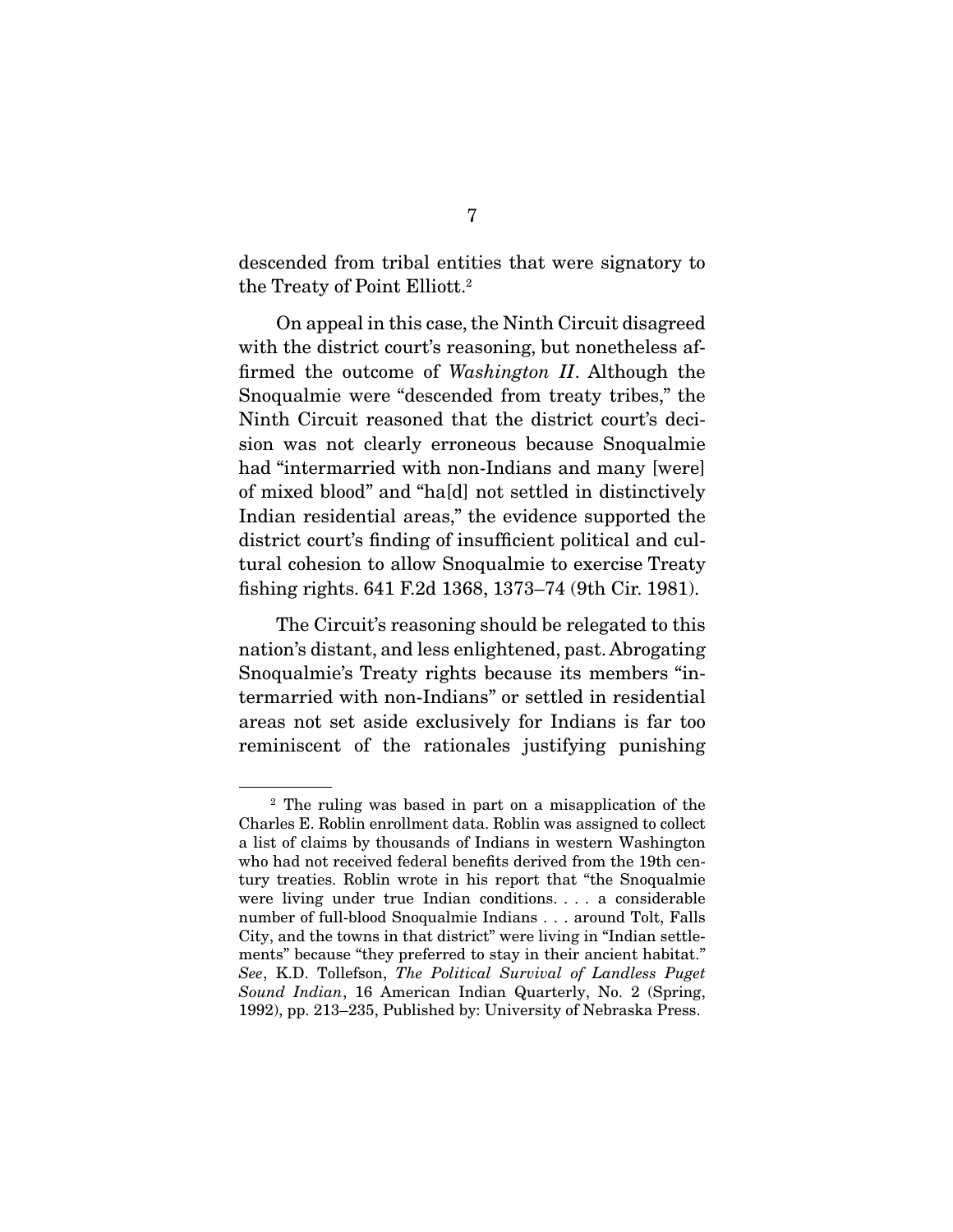$\frac{d}{dx}$  from the from the signator  $\frac{d}{dx}$  that  $\frac{d}{dx}$ the Treaty of Follit Elliott.

 On appeal in this case, the Ninth Circuit disagreed firmed the outcome of *Washington II*. Although the  $S_{\text{p}}$ Snoqualmie were "descended from treaty tribes," the Ninth Circuit reasoned that the district court's decision was not clearly erroneous because Snoqualmie had "intermarried with non-Indians and many [were] of mixed blood" and "ha[d] not settled in distinctively Indian residential areas," the evidence supported the district court's finding of insufficient political and cultural cohesion to allow Snoqualmie to exercise Treaty  $t_{\text{min}}$  cohesion  $\frac{1}{2}$  and  $\frac{1}{2}$  and  $\frac{1}{2}$  and  $\frac{1}{2}$  and  $\frac{1}{2}$  and  $\frac{1}{2}$  and  $\frac{1}{2}$  and  $\frac{1}{2}$  and  $\frac{1}{2}$  and  $\frac{1}{2}$  and  $\frac{1}{2}$  and  $\frac{1}{2}$  and  $\frac{1}{2}$  and  $\frac{1}{2}$  and  $\frac{1}{$ fishing rights. 641 F.2d 1368, 1373–74 (9th Cir. 1981).

The Circuit's reasoning should be relegated to this nation's distant, and less enlightened, past. Abrogating Snoqualmie's Treaty rights because its members "intermarried with non-Indians" or settled in residential areas not set aside exclusively for Indians is far too areas not set aside exclusively for Indians is far too reminiscent of the ratio  $\int$  the ratio  $\int$  punishing punishes  $\int$ 

 $2$  The ruling was based in part on a misapplication of the Charles E. Roblin enrollment data. Roblin was assigned to collect a list of claims by thousands of Indians in western Washington who had not received federal benefits derived from the 19th century treaties. Roblin wrote in his report that "the Snoqualmie were living under true Indian conditions. . . . a considerable number of full-blood Snoqualmie Indians . . . around Tolt, Falls City, and the towns in that district" were living in "Indian settlements" because "they preferred to stay in their ancient habitat." ments" because "they preferred to stay in their ancient habitat."<br>See, K.D. Tollefson, *The Political Survival of Landless Puget*<br>Sound Indian, 16 American Indian Quarterly, No. 2 (Spring) Sound Indian, 16 American Indian Quarterly, No. 2 (Spring, 1992), pp. 213–235, Published by: University of Nebraska Press.  $1992$ , pp. 213–235, Published by: University of Nebraska Press.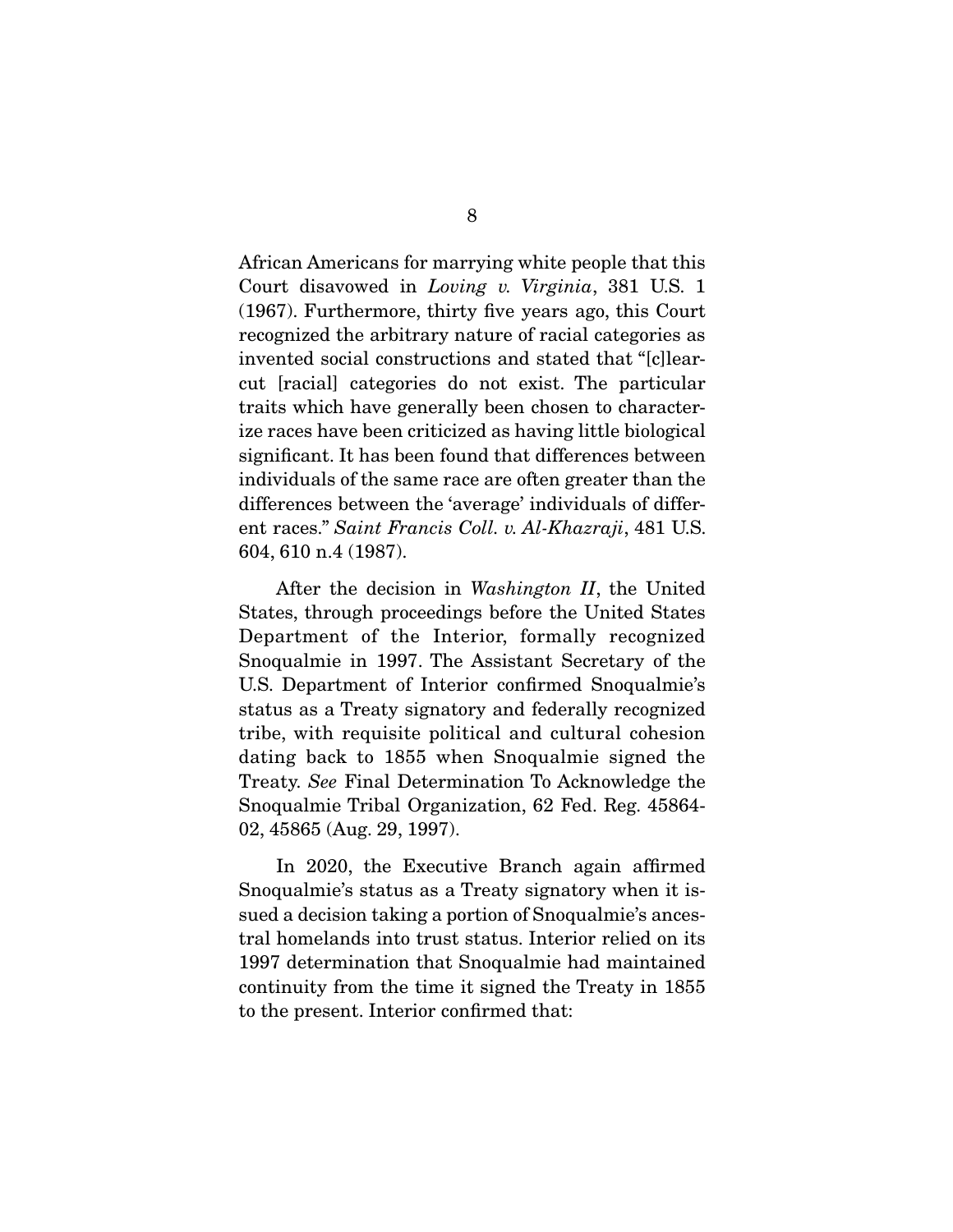Court disavowed in *Loving v. Virginia*, 381 U.S. 1  $(1067)$  Furthermore thirty five years ago this Court (1967). Furthermore, thirty five years ago, this Court invented social constructions and stated that "[c]learcut [racial] categories do not exist. The particular traits which have generally been chosen to characterize races have been criticized as having little biological significant. It has been found that differences between individuals of the same race are often greater than the differences between the 'average' individuals of different races." Saint Francis Coll. v. Al-Khazraji, 481 U.S. 604, 610 n.4 (1987).

After the decision in Washington II, the United States, through proceedings before the United States Department of the Interior, formally recognized Snoqualmie in 1997. The Assistant Secretary of the U.S. Department of Interior confirmed Snoqualmie's status as a Treaty signatory and federally recognized tribe, with requisite political and cultural cohesion dating back to 1855 when Snoqualmie signed the Treaty. See Final Determination To Acknowledge the Snoqualmie Tribal Organization, 62 Fed. Reg. 45864-  $\overline{a}$ ,  $\overline{b}$ ,  $\overline{c}$ ,  $\overline{c}$ ,  $\overline{c}$ ,  $\overline{c}$ ,  $\overline{c}$ ,  $\overline{c}$ ,  $\overline{c}$ ,  $\overline{c}$ ,  $\overline{c}$ ,  $\overline{c}$ ,  $\overline{c}$ ,  $\overline{c}$ ,  $\overline{c}$ ,  $\overline{c}$ ,  $\overline{c}$ ,  $\overline{c}$ ,  $\overline{c}$ ,  $\overline{c}$ ,  $\overline{c}$ ,  $\overline{c}$ ,

In 2020, the Executive Branch again affirmed<br>Snoqualmie's status as a Treaty signatory when it issued a decision taking a portion of Snoqualmie's ancestral homelands into trust status. Interior relied on its 1997 determination that Snoqualmie had maintained continuity from the time it signed the Treaty in 1855 to the present. Interior confirmed that:  $t_{\rm r}$  the present matrice confirmed that: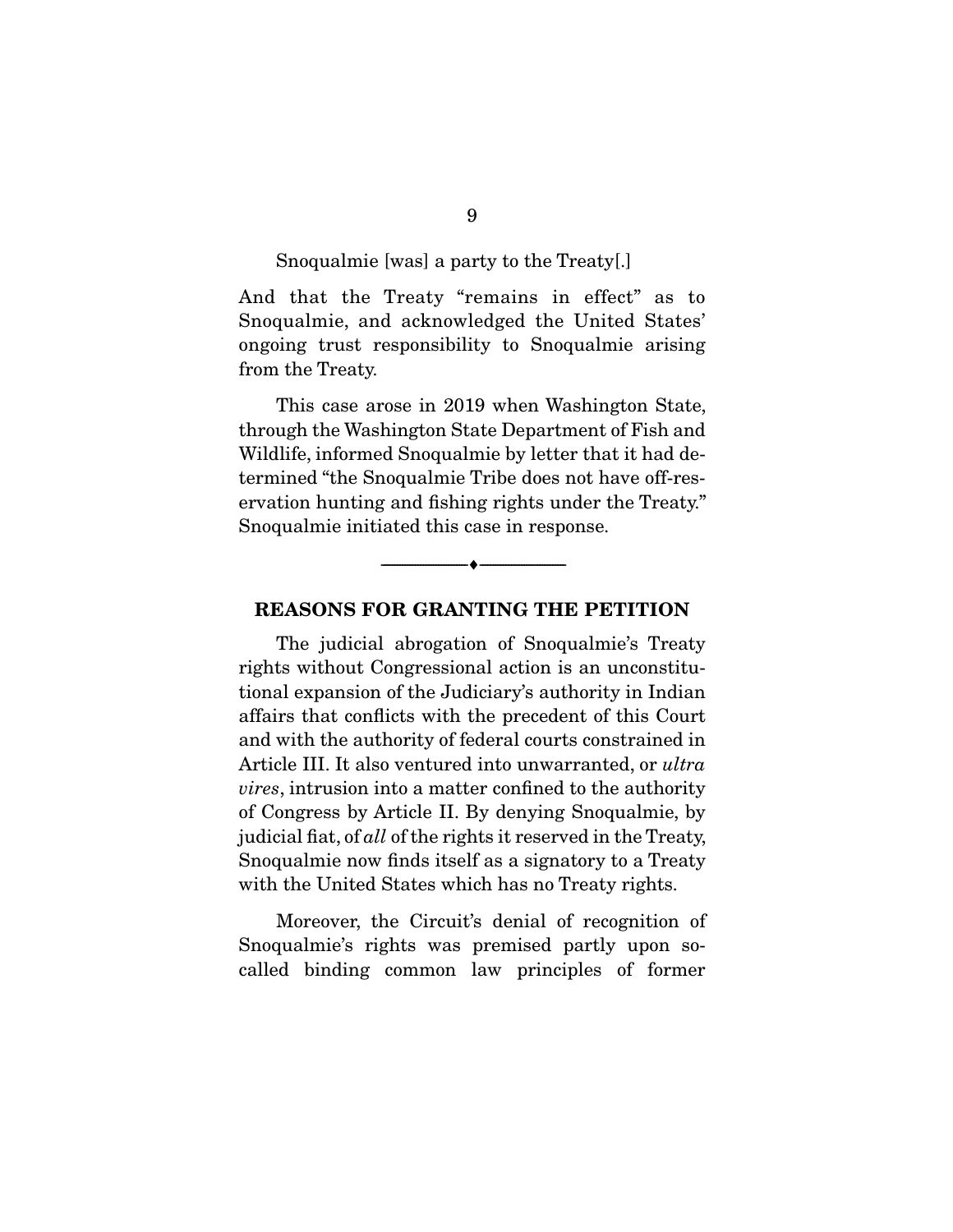#### Snoqualmie [was] a party to the Treaty[.]

And that the Treaty "remains in effect" as to Snoqualmie, and acknowledged the United States' ongoing trust responsibility to Snoqualmie arising from the Treaty.  $\cdots$  the Treaty.

This case arose in 2019 when Washington State, through the Washington State Department of Fish and Wildlife, informed Snoqualmie by letter that it had determined "the Snoqualmie Tribe does not have off-reservation hunting and fishing rights under the Treaty." ervation hunting and fishing rights under the Treaty." Snoqualmie initiated this case in response.

### **REASONS FOR GRANTING THE PETITION**

 $\overbrace{\hspace{2.5cm}}$   $\overbrace{\hspace{2.5cm}}$ 

The judicial abrogation of Snoqualmie's Treaty<br>rights without Congressional action is an unconstitutional expansion of the Judiciary's authority in Indian affairs that conflicts with the precedent of this Court and with the authority of federal courts constrained in Article III. It also ventured into unwarranted, or ultra vires, intrusion into a matter confined to the authority<br>of Congress by Article II. By denying Snoqualmie, by judicial fiat, of all of the rights it reserved in the Treaty, Snoqualmie now finds itself as a signatory to a Treaty with the United States which has no  $\mathbb{R}^n$  rights.

Moreover, the Circuit's denial of recognition of Snoqualmie's rights was premised partly upon socalled binding common law principles of former called binding common law principles of former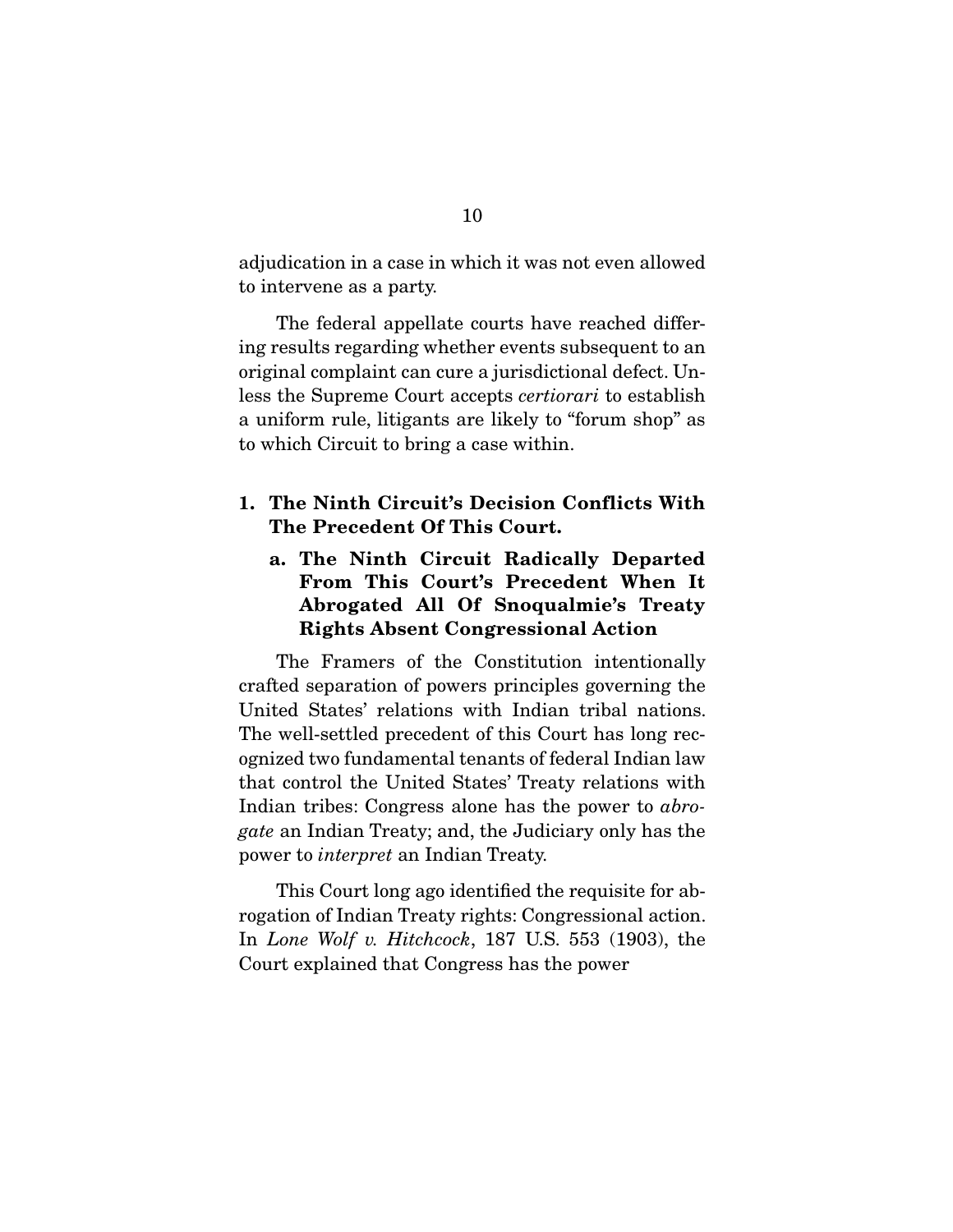adjudication in a case in which it was not even allowed  $\mathbf{r}$  is a particle as a party.

The federal appellate courts have reached differing results regarding whether events subsequent to an original complaint can cure a jurisdictional defect. Unless the Supreme Court accepts *certiorari* to establish<br>a uniform rule litigants are likely to "forum shon" as  $\alpha$  uniform rule  $\alpha$  and  $\alpha$  are little  $\alpha$ . to which Circuit to bring a case within.

### **1. The Ninth Circuit's Decision Conflicts With The Precedent Of This Court.**

### **a. The Ninth Circuit Radically Departed From This Court's Precedent When It Abrogated All Of Snoqualmie's Treaty Rights Absent Congressional Action**

The Framers of the Constitution intentionally crafted separation of powers principles governing the United States' relations with Indian tribal nations. The well-settled precedent of this Court has long recognized two fundamental tenants of federal Indian law that control the United States' Treaty relations with Indian tribes: Congress alone has the power to *abro-*<br> $\frac{c}{dt}$  an Indian Treaty; and the Indian v only has the gate an Indian Treaty; and, the Judiciary only has the power to interpret an Indian Treaty.

This Court long ago identified the requisite for ab-<br>rogation of Indian Treaty rights: Congressional action. In Lone Wolf v. Hitchcock, 187 U.S. 553 (1903), the Court explained that Congress has the power. Court explained that Congress has the power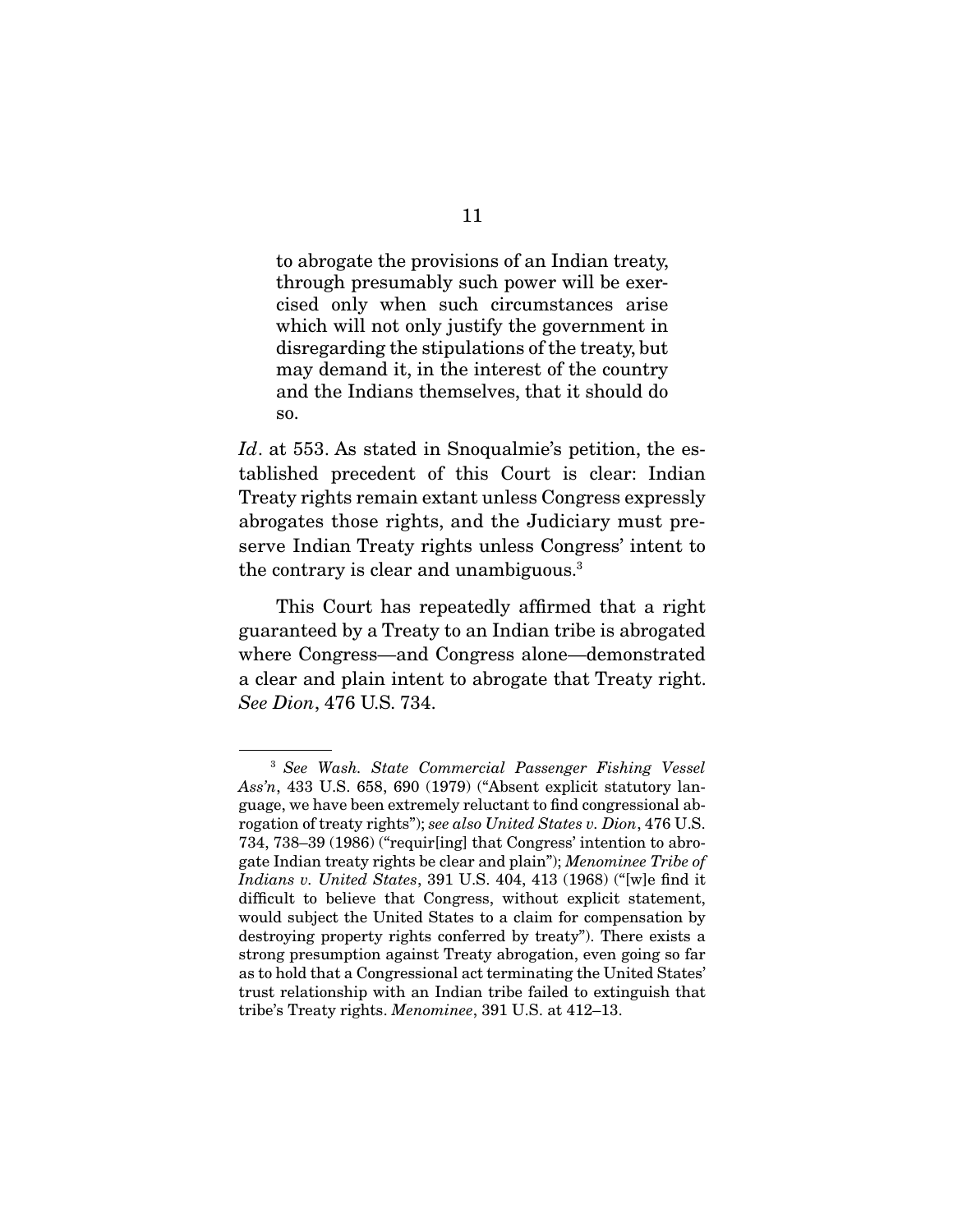to abrogate the provisions of an Indian treaty, cised only when such circumstances arise which will not only justify the government in disregarding the stipulations of the treaty, but may demand it, in the interest of the country  $\frac{1}{2}$  matrix  $\frac{1}{2}$  is the interest of the country and the Indians themselves, that it should do<br>SO so.

Id. at 553. As stated in Snoqualmie's petition, the established precedent of this Court is clear: Indian Treaty rights remain extant unless Congress expressly abrogates those rights, and the Judiciary must preserve Indian Treaty rights unless Congress' intent to  $s_{\text{max}}$  is a served  $\frac{1}{s}$  in  $\frac{1}{s}$  in  $\frac{1}{s}$  in  $\frac{1}{s}$ the contrary is clear and unambiguous.

This Court has repeatedly affirmed that a right guaranteed by a Treaty to an Indian tribe is abrogated where Congress—and Congress alone—demonstrated a clear and plain intent to abrogate that Treaty right. See Dion,  $476$  U.S. 734.

<sup>3</sup> See Wash. State Commercial Passenger Fishing Vessel Ass'n, 433 U.S. 658, 690 (1979) ("Absent explicit statutory language, we have been extremely reluctant to find congressional abrogation of treaty rights"); see also United States v. Dion, 476 U.S.<br>734–738–39 (1986) ("requir[ing] that Congress' intention to abrogate Indian treaty rights be clear and plain"); Menominee Tribe of  $Indians v$ , United States 391 U.S.  $404, 413, (1968),$  ("wla find it Indians v. United States, 391 U.S. 404, 413 (1968) ("[w]e find it difficult to believe that Congress, without explicit statement, would subject the United States to a claim for compensation by destroying property rights conferred by treaty"). There exists a strong presumption against Treaty abrogation, even going so far as to hold that a Congressional act terminating the United States' trust relationship with an Indian tribe failed to extinguish that trust relationship with an Indian tribe failed to extinguish that tribe's Treaty rights. Menominee, 391 U.S. at 412–13.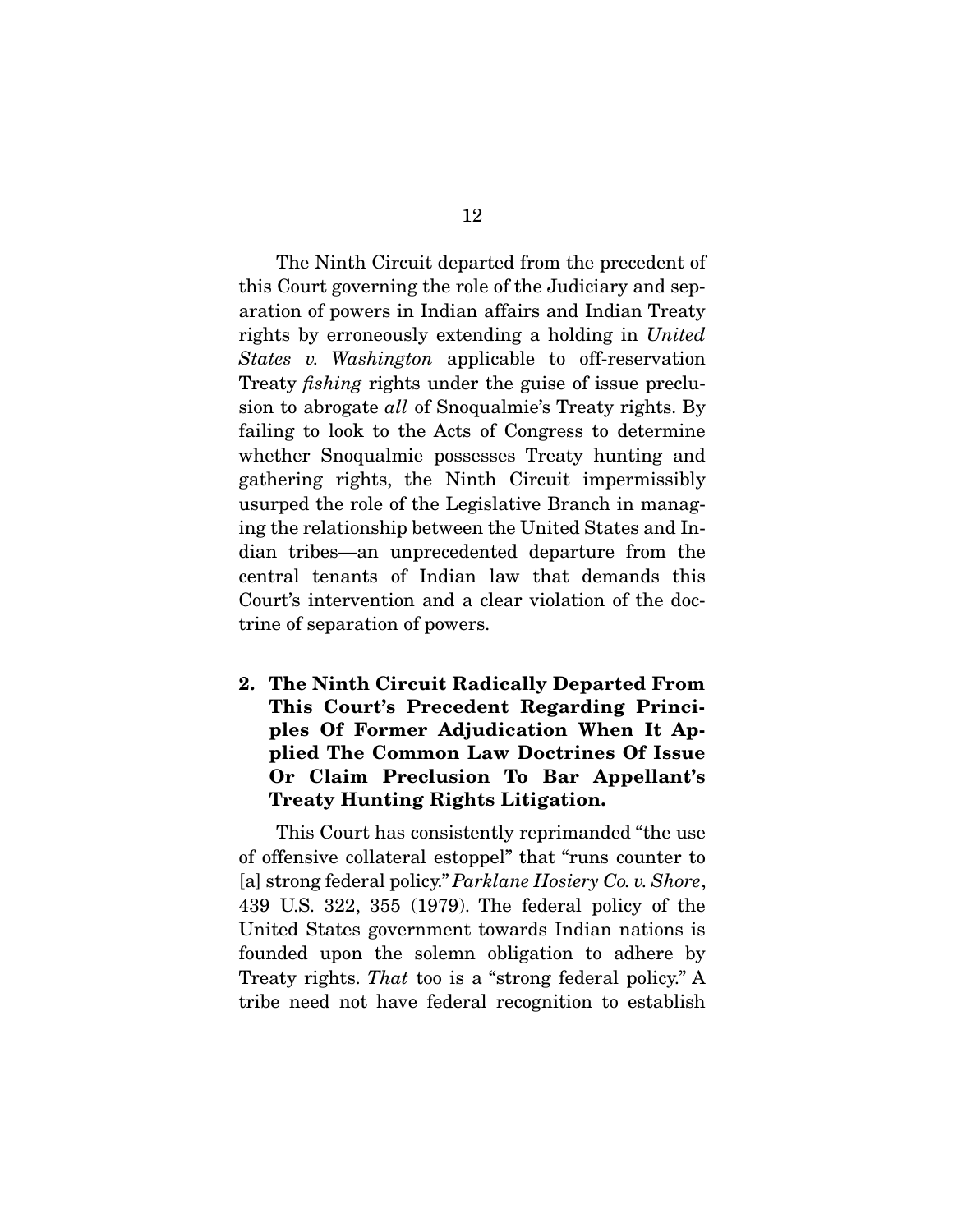The Ninth Circuit departed from the precedent of<br>this Court governing the role of the Judiciary and separation of powers in Indian affairs and Indian Treaty rights by erroneously extending a holding in United<br>States v. Washington, applicable, to off recorration States v. Washington applicable to off-reservation Treaty fishing rights under the guise of issue preclusion to abrogate *all* of Snoqualmie's Treaty rights. By failing to look to the Acts of Congress to determine whether Snoqualmie possesses Treaty hunting and gathering rights, the Ninth Circuit impermissibly usurped the role of the Legislative Branch in managing the relationship between the United States and Indian tribes—an unprecedented departure from the central tenants of Indian law that demands this Court's intervention and a clear violation of the doctrine of separation of powers. trine of separation of powers.

**2. The Ninth Circuit Radically Departed From This Court's Precedent Regarding Principles Of Former Adjudication When It Applied The Common Law Doctrines Of Issue Or Claim Preclusion To Bar Appellant's Treaty Hunting Rights Litigation.** 

This Court has consistently reprimanded "the use<br>of offensive collateral estoppel" that "runs counter to [a] strong federal policy." Parklane Hosiery Co. v. Shore, 439 U.S. 322, 355 (1979). The federal policy of the founded upon the solemn obligation to adhere by Treaty rights. That too is a "strong federal policy." A tribe need not be coderal recognition to establish tribe need not have federal  $\mathcal{L}_{\mathbf{g}}$  is the establishing to establish to establish to establish to establish the establishing of  $\mathcal{L}_{\mathbf{g}}$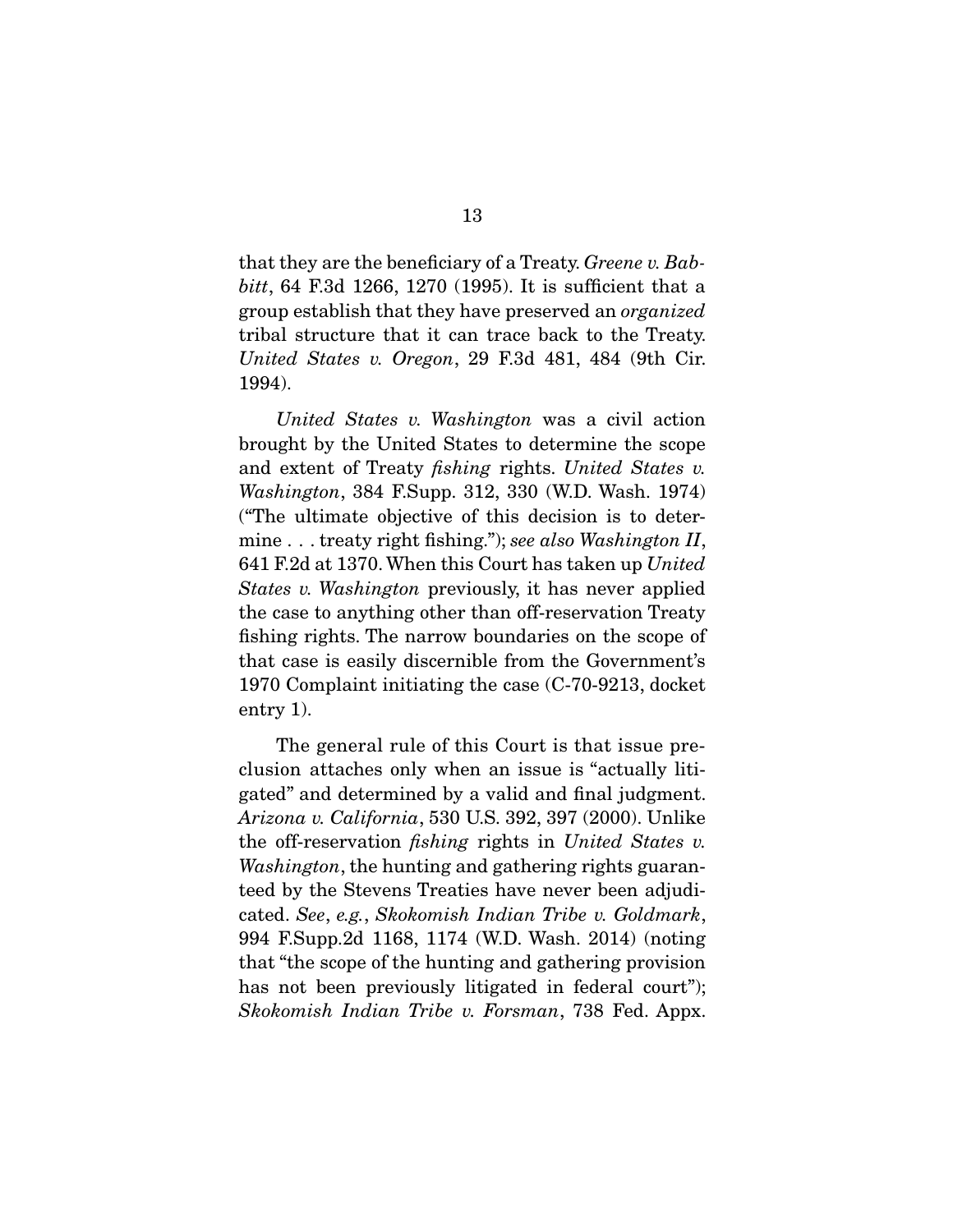that they are the beneficiary of a Treaty. Greene v. Bab*bitt*, 64 F.3d 1266, 1270 (1995). It is sufficient that a group establish that they have preserved an *organized*<br>tribal structure that it can trace back to the Treaty. United States v. Oregon, 29 F.3d 481, 484 (9th Cir. 1994). 1994).

United States v. Washington was a civil action<br>brought by the United States to determine the scope and extent of Treaty *fishing* rights. United States v.<br>Washington 384 F.Supp 312, 330 (W.D. Wosh, 1974) Washington, 384 F.Supp. 312, 330 (W.D. Wash. 1974)<br>("The ultimate objective of this decision is to deter- $\begin{array}{l} \text{min.} \ \text{m} \ \text{min.} \ \text{m} \ \text{min.} \ \text{m} \ \text{min.} \ \text{m} \ \text{min.} \ \text{m} \ \text{min.} \ \text{m} \ \text{min.} \ \text{m} \ \text{min.} \ \text{m} \ \text{min.} \ \text{m} \ \text{min.} \ \text{m} \ \text{min.} \ \text{m} \ \text{min.} \ \text{m} \ \text{min.} \ \text{m} \ \text{min.} \ \text{m} \ \text{min.} \ \text{m} \ \text{min.} \ \text{m} \ \text{min.$ 641 F.2d at 1370. When this Court has taken up United States v. Washington previously, it has never applied the case to anything other than off-reservation Treaty fishing rights. The narrow boundaries on the scope of that case is easily discernible from the Government's 1970 Complaint initiating the case  $(C-70-9213, \text{docket})$  $\frac{1}{2}$ entry 1).

The general rule of this Court is that issue pre-<br>clusion attaches only when an issue is "actually litigated" and determined by a valid and final judgment. Arizona v. California, 530 U.S. 392, 397 (2000). Unlike<br>the eff reservation fiching rights in United States v. the off-reservation fishing rights in United States v. Washington, the hunting and gathering rights guaranteed by the Stevens Treaties have never been adjudicated. See, e.g., Skokomish Indian Tribe v. Goldmark, 994 F.Supp.2d 1168, 1174 (W.D. Wash. 2014) (noting has not been previously litigated in federal court"); Skokomish Indian Tribe v. Forsman, 738 Fed. Appx.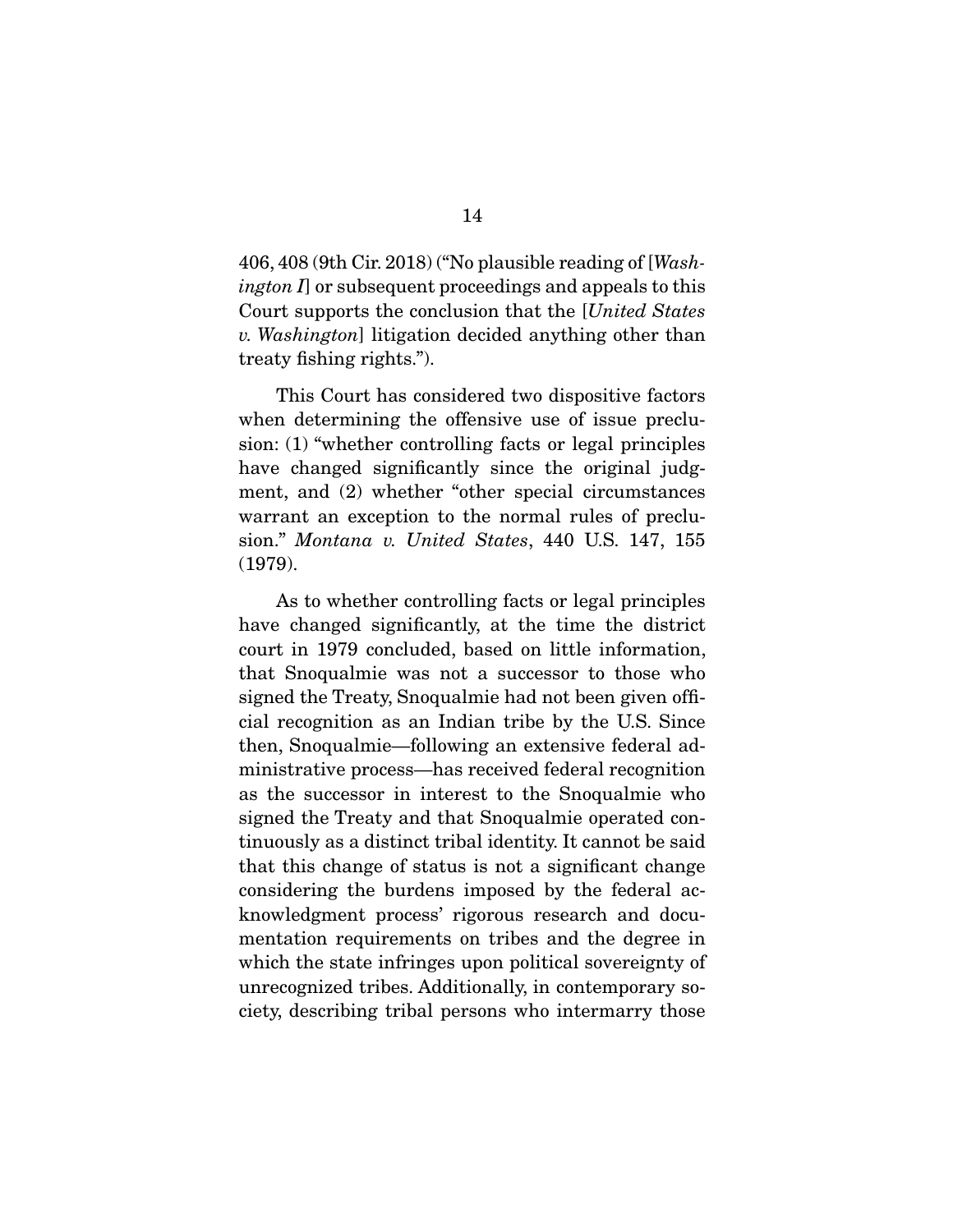406, 408 (9th Cir. 2018) ("No plausible reading of [Washington I or subsequent proceedings and appeals to this Court supports the conclusion that the [United States v. Washington] litigation decided anything other than treaty fishing rights.").

This Court has considered two dispositive factors<br>when determining the offensive use of issue preclusion:  $(1)$  "whether controlling facts or legal principles have changed significantly since the original judgment, and (2) whether "other special circumstances warrant an exception to the normal rules of precluwarrant an exception to the normal rules of precedures sion." Montana v. United States, 440 U.S. 147, 155  $(1979)$ (1979).

As to whether controlling facts or legal principles<br>have changed significantly, at the time the district court in 1979 concluded, based on little information, that Snoqualmie was not a successor to those who signed the Treaty, Snoqualmie had not been given official recognition as an Indian tribe by the U.S. Since then, Snoqualmie—following an extensive federal administrative process—has received federal recognition as the successor in interest to the Snoqualmie who signed the Treaty and that Snoqualmie operated continuously as a distinct tribal identity. It cannot be said that this change of status is not a significant change considering the burdens imposed by the federal acknowledgment process' rigorous research and documentation requirements on tribes and the degree in which the state infringes upon political sovereignty of unrecognized tribes. Additionally, in contemporary society, describing tribal persons who intermarry those  $\cdots$ , describing tribal persons who intermediately those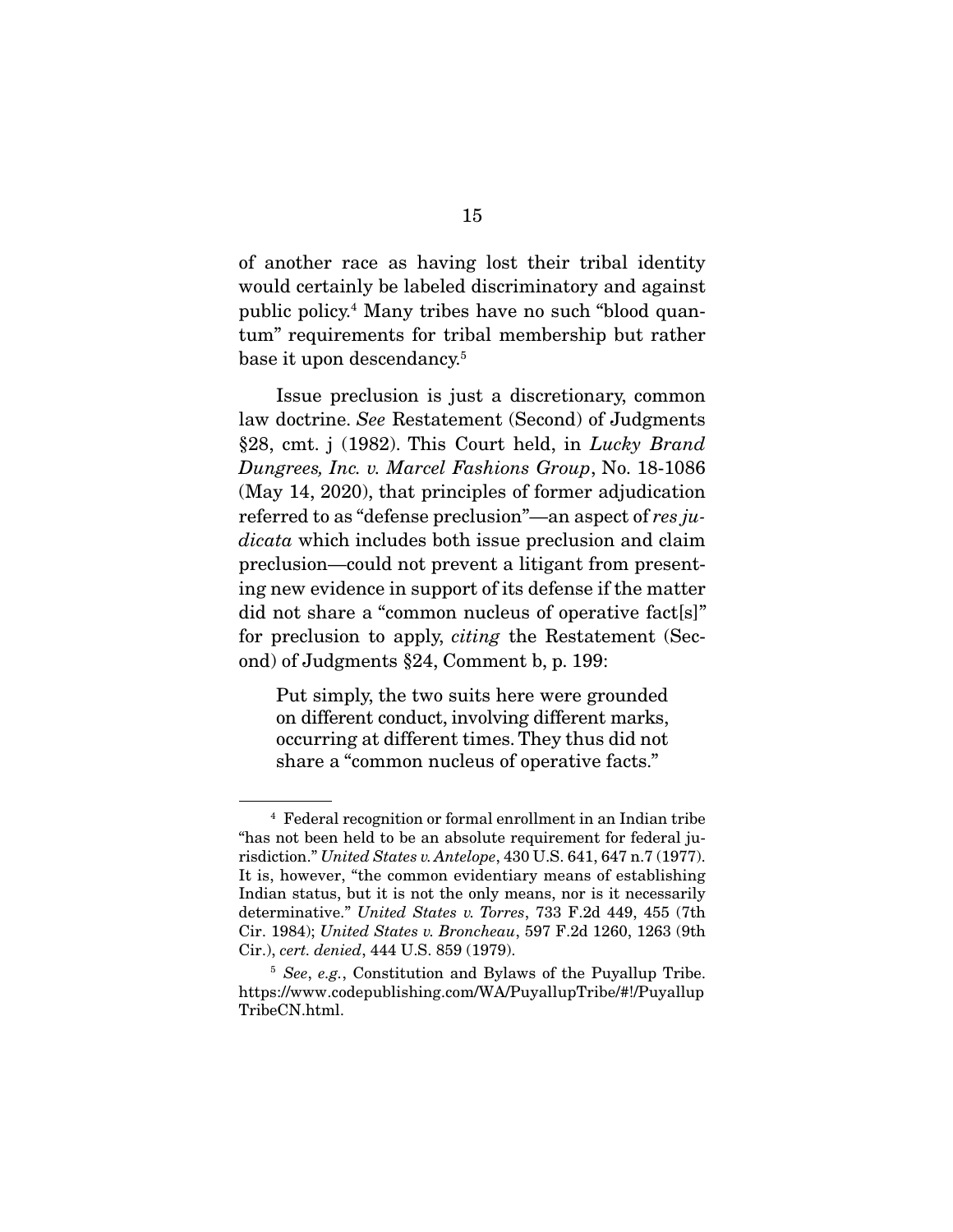of another race as having lost their tribal identity public policy.<sup>4</sup> Many tribes have no such "blood quanpublic policy. Many tribes have no such "blood quan-<br>tum" requirements for tribel membership but rether  $\frac{1}{1}$ base it upon descendancy.

law doctrine. See Restatement (Second) of Judgments §28, cmt. j (1982). This Court held, in Lucky Brand Dungrees, Inc. v. Marcel Fashions Group, No. 18-1086 (May 14, 2020), that principles of former adjudication referred to as "defense preclusion"—an aspect of  $res$  judicata which includes both issue preclusion and claim<br>preclusion—could not prevent a litigant from presenting new evidence in support of its defense if the matter did not share a "common nucleus of operative fact[s]" for preclusion to apply, *citing* the Restatement (Sec-<br>and) of Iudements  $824$  Commont b n 190.  $\sum_{i=1}^{n}$  of Judgments  $\sum_{i=1}^{n}$  , Comment b, p. 199:

Put simply, the two suits here were grounded<br>on different conduct, involving different marks, occurring at different times. They thus did not occurring at direct times. They thus did not be seen the set of  $\alpha$ share a "common nucleus of operative facts."

<sup>&</sup>lt;sup>4</sup> Federal recognition or formal enrollment in an Indian tribe "has not been held to be an absolute requirement for federal jurisdiction." United States v. Antelope,  $430 \text{ U.S. } 641, 647 \text{ n.}7 (1977)$ .<br>It is however "the common evidentiary means of establishing It is, however, "the common evidentiary means of establishing<br>Indian status, but it is not the only means, nor is it necessarily determinative." United States v. Torres, 733 F.2d 449, 455 (7th<br>Cir. 1984): United States v. Broncheau, 597 F.2d 1260, 1263 (9th Cir. 1984); United States v. Broncheau, 597 F.2d 1260, 1263 (9th Cir.), cert. denied, 444 U.S. 859 (1979).

<sup>5</sup> See, e.g., Constitution and Bylaws of the Puyallup Tribe. https://www.codepublishing.com/WA/PuyallupTribe/#!/Puyallup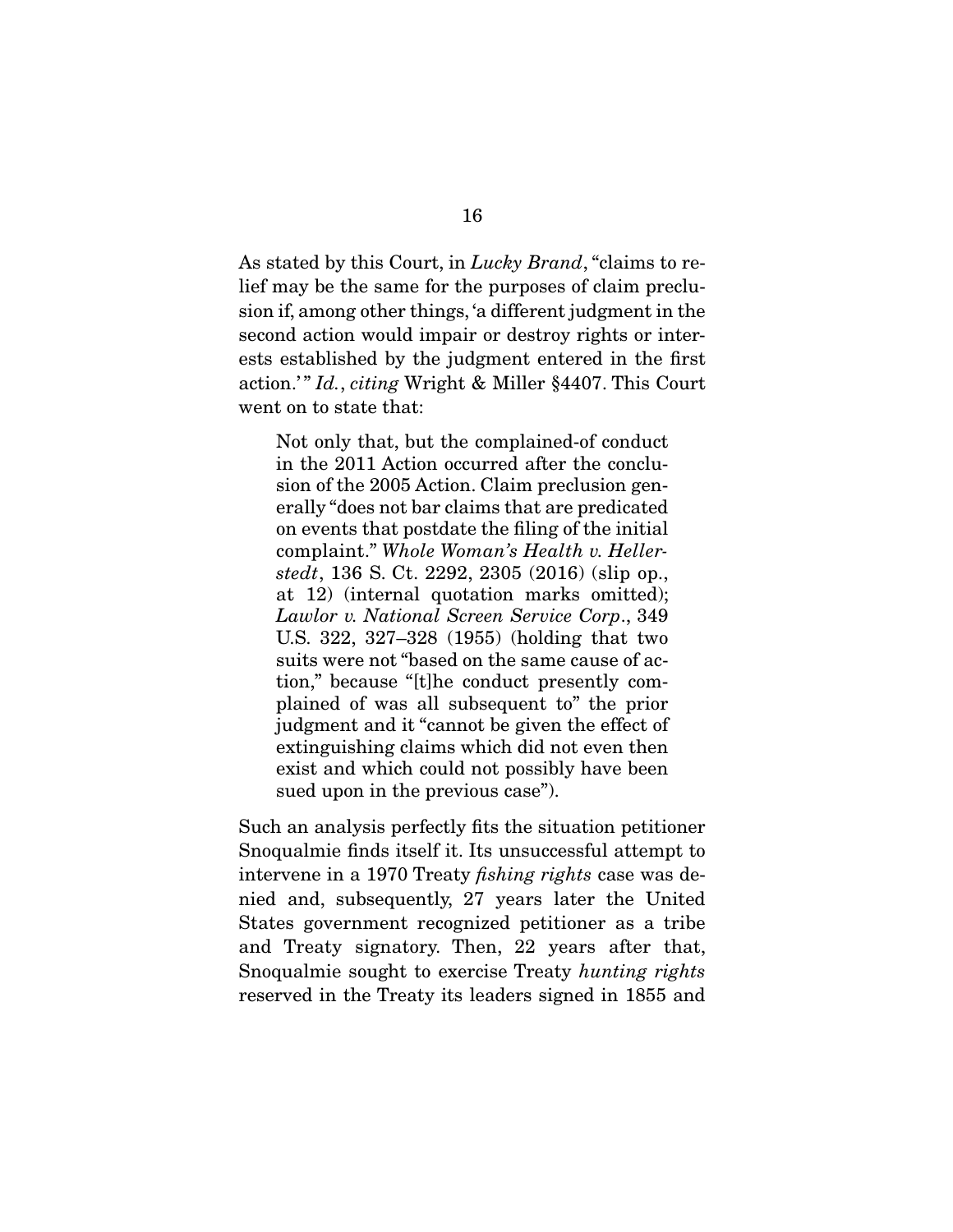As stated by this Court, in *Lucky Brand*, "claims to re-<br>lief may be the same for the purposes of claim preclusion if, among other things, 'a different judgment in the second action would impair or destroy rights or interests established by the judgment entered in the first action.'" Id., citing Wright & Miller §4407. This Court we have the state that the state that

Not only that, but the complained-of conduct sion of the 2005 Action. Claim preclusion generally "does not bar claims that are predicated on events that postdate the filing of the initial complaint." Whole Woman's Health v. Heller-<br>stedt 136 S Ct 2292 2305 (2016) (slip on stedt, 136 S. Ct. 2292, 2305  $(2016)$  (slip op., at 12) (internal quotation marks omitted); Lawlor v. National Screen Service Corp., 349<br>LIS 322 327–328 (1955) (holding that two U.S. 322, 327–328 (1955) (holding that two suits were not "based on the same cause of action," because "[t]he conduct presently complained of was all subsequent to" the prior judgment and it "cannot be given the effect of extinguishing claims which did not even then exist and which could not possibly have been sued upon in the previous case"). sued upon in the previous case").

Such an analysis perfectly fits the situation petitioner intervene in a 1970 Treaty *fishing rights* case was de-<br>pied, and subsequently,  $27$  years, later, the United nied and, subsequently, 27 years later the United and Treaty signatory. Then, 22 years after that,  $\frac{1}{2}$ <br>Snoqualmie sought to exercise Treaty hunting rights<br>recorred in the Treaty its leaders signed in 1855 and reserved in the Treaty its leaders signed in 1855 and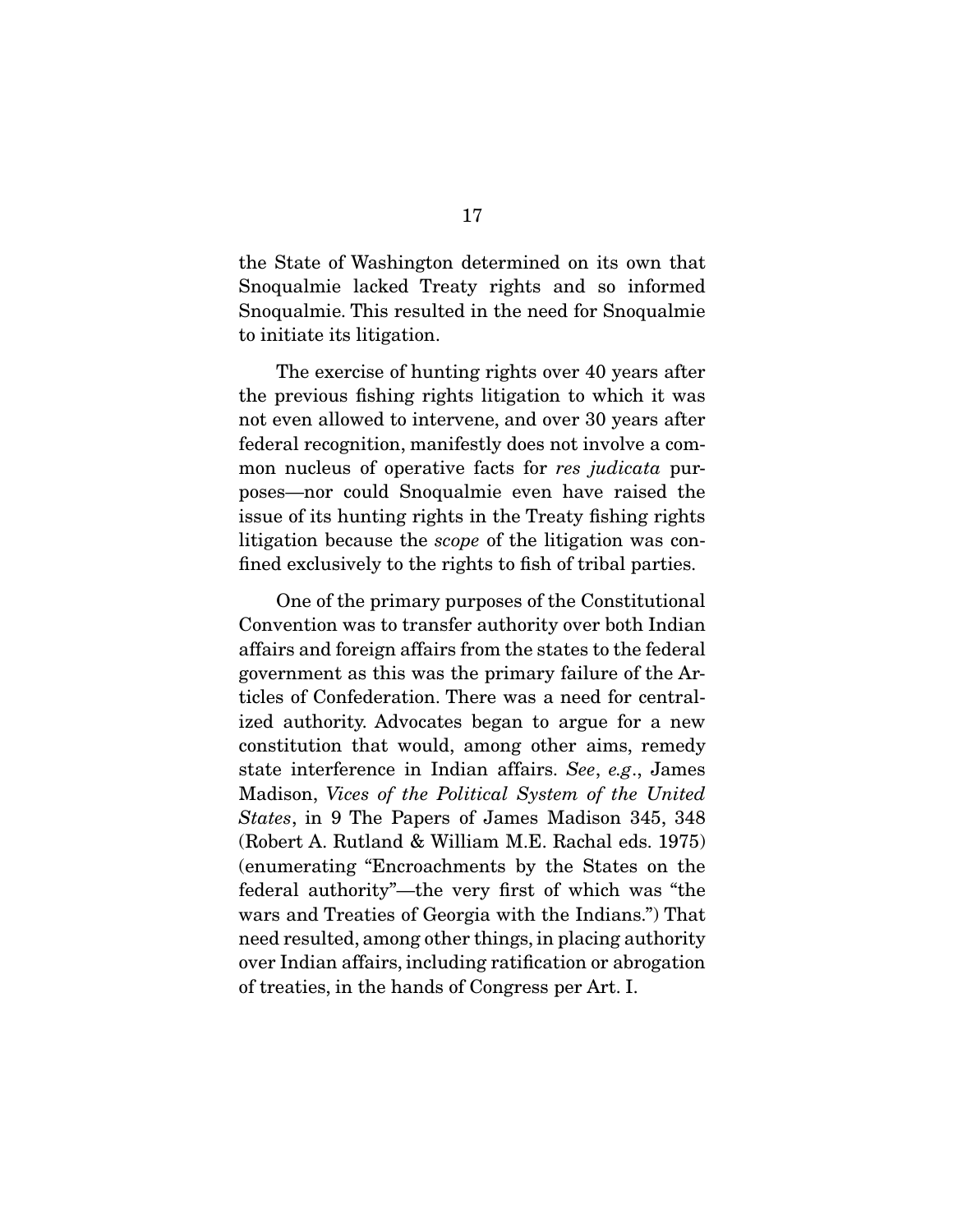the State of Washington determined on its own that<br>Snoqualmie lacked Treaty rights and so informed Snoqualmie. This resulted in the need for Snoqualmie to initiate its litigation. to initiate its litigation.

The exercise of hunting rights over 40 years after<br>the previous fishing rights litigation to which it was not even allowed to intervene, and over 30 years after federal recognition, manifestly does not involve a common nucleus of operative facts for *res judicata* pur-<br>mon nucleus of operative facts for *res judicata* purposes—nor could Snoqualmie even have raised the litigation because the *scope* of the litigation was con-<br>fined exclusively to the rights to fish of tribel perties fined exclusively to the rights to fish of tribal parties.

One of the primary purposes of the Constitutional<br>Convention was to transfer authority over both Indian affairs and foreign affairs from the states to the federal government as this was the primary failure of the Articles of Confederation. There was a need for centralized authority. Advocates began to argue for a new constitution that would, among other aims, remedy state interference in Indian affairs. See, e.g., James Madison, Vices of the Political System of the United States, in 9 The Papers of James Madison 345, 348 (Robert A. Rutland & William M.E. Rachal eds. 1975) (enumerating "Encroachments by the States on the federal authority"—the very first of which was "the wars and Treaties of Georgia with the Indians.") That need resulted, among other things, in placing authority over Indian affairs, including ratification or abrogation of tractice in the bands of Congress por  $\Delta r$ <sup>r</sup> I  $\sigma$  treating, in the hands of  $C_0$  and  $\Gamma$ .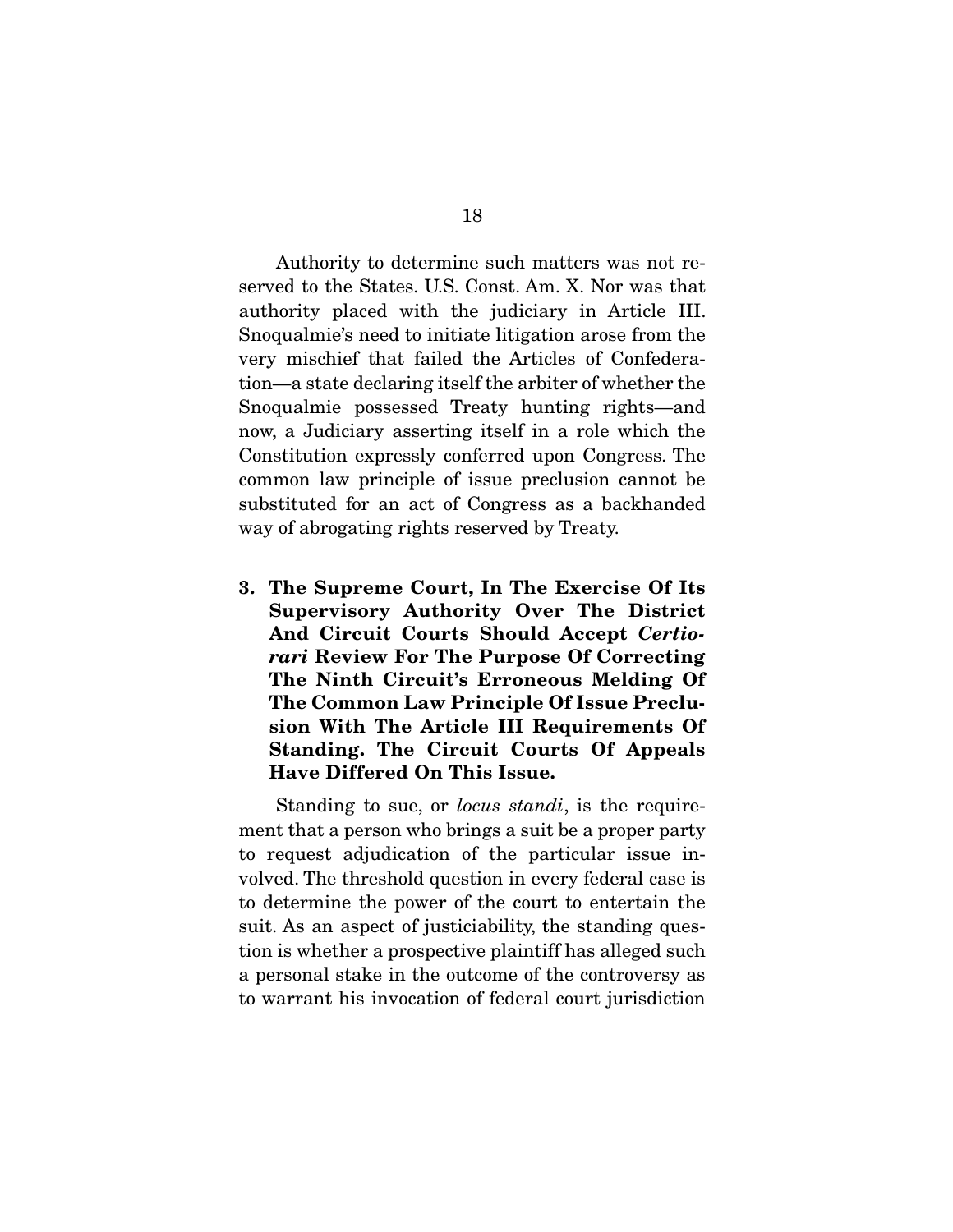Authority to determine such matters was not reserved to the States. U.S. Const. Am. X. Nor was that authority placed with the judiciary in Article III. Snoqualmie's need to initiate litigation arose from the very mischief that failed the Articles of Confederation—a state declaring itself the arbiter of whether the Snoqualmie possessed Treaty hunting rights—and now, a Judiciary asserting itself in a role which the Constitution expressly conferred upon Congress. The common law principle of issue preclusion cannot be substituted for an act of Congress as a backhanded way of abrogating rights reserved by Treaty. way of abrogating rights reserved by  $\frac{1}{2}$  ready.

**3. The Supreme Court, In The Exercise Of Its Supervisory Authority Over The District And Circuit Courts Should Accept** *Certiorari* **Review For The Purpose Of Correcting The Ninth Circuit's Erroneous Melding Of The Common Law Principle Of Issue Preclusion With The Article III Requirements Of Standing. The Circuit Courts Of Appeals Have Differed On This Issue.** 

Standing to sue, or *locus standi*, is the require-<br>ment that a person who brings a suit be a proper party to request adjudication of the particular issue involved. The threshold question in every federal case is to determine the power of the court to entertain the suit. As an aspect of justiciability, the standing question is whether a prospective plaintiff has alleged such a personal stake in the outcome of the controversy as a personal stake in the outcome of the controversy as  $t_{\rm eff}$  warrant his involunce of federal court jurisdiction of  $\mu$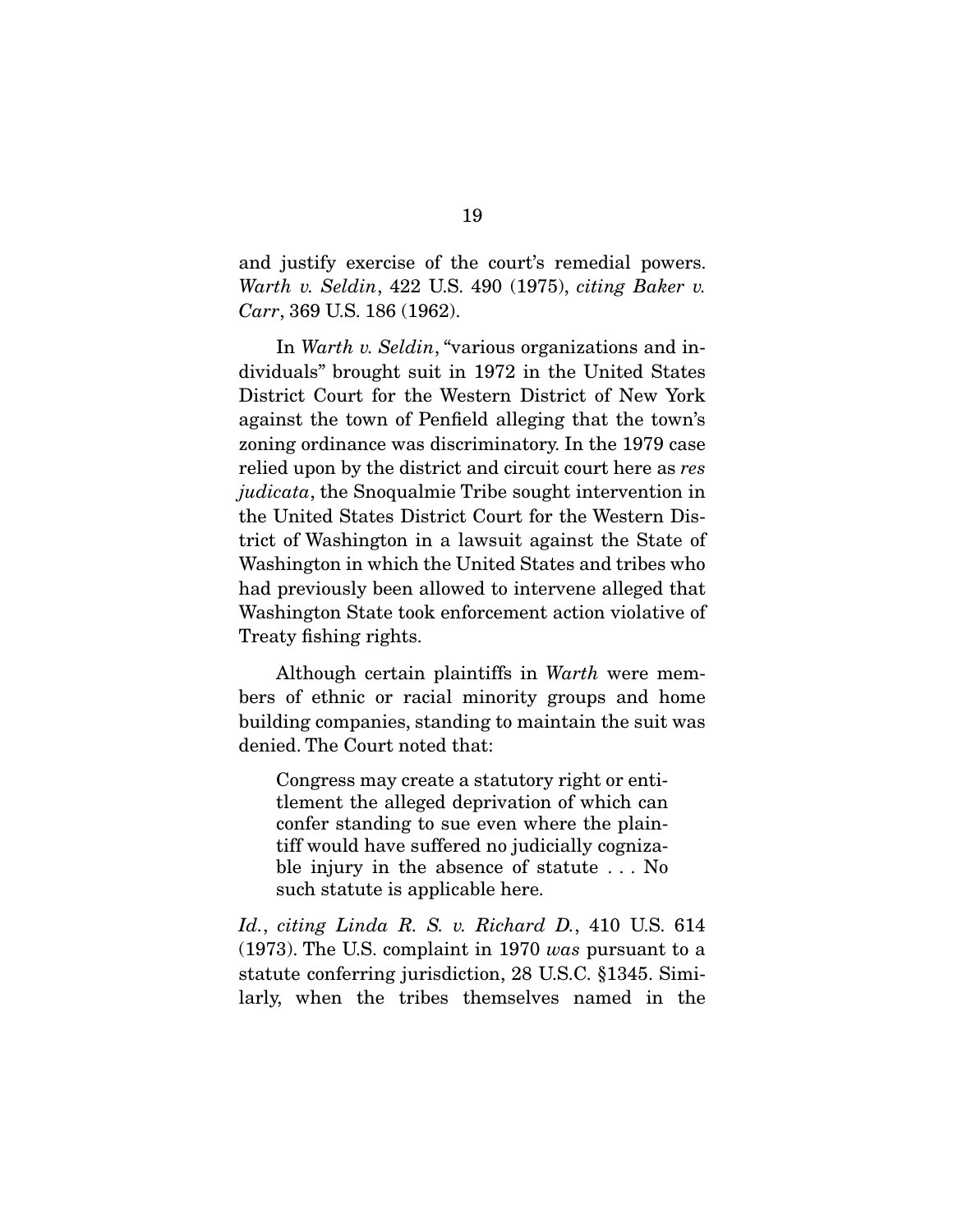Warth v. Seldin, 422 U.S. 490 (1975), citing Baker v.<br>Court 369 U.S. 186 (1969) Carr, 369 U.S. 186 (1962).

In Warth v. Seldin, "various organizations and in-<br>dividuals" brought suit in 1972 in the United States District Court for the Western District of New York against the town of Penfield alleging that the town's zoning ordinance was discriminatory. In the 1979 case relied upon by the district and circuit court here as res judicata, the Snoqualmie Tribe sought intervention in the United States District Court for the Western District of Washington in a lawsuit against the State of Washington in which the United States and tribes who had previously been allowed to intervene alleged that Washington State took enforcement action violative of Washington State took enforcement action of the state of the state of the state of the state of the state of the state of the state of the state of the state of the state of the state of the state of the state of the state  $\frac{1}{2}$  finally rights.

Although certain plaintiffs in *Warth* were members of ethnic or racial minority groups and home building companies, standing to maintain the suit was denied. The Court noted that: denied. The Court noted that:

Congress may create a statutory right or enticonfer standing to sue even where the plaintiff would have suffered no judicially cognizable injury in the absence of statute  $\dots$  No ble injury in the absence of statute . . . No such statute is applicable here.

Id., citing Linda R. S. v. Richard D., 410 U.S. 614 (1973). The U.S. complaint in 1970 was pursuant to a statute conferring jurisdiction, 28 U.S.C.  $§1345$ . Similarly, when the tribes themselves named in the larly, when the tribes themselves named in the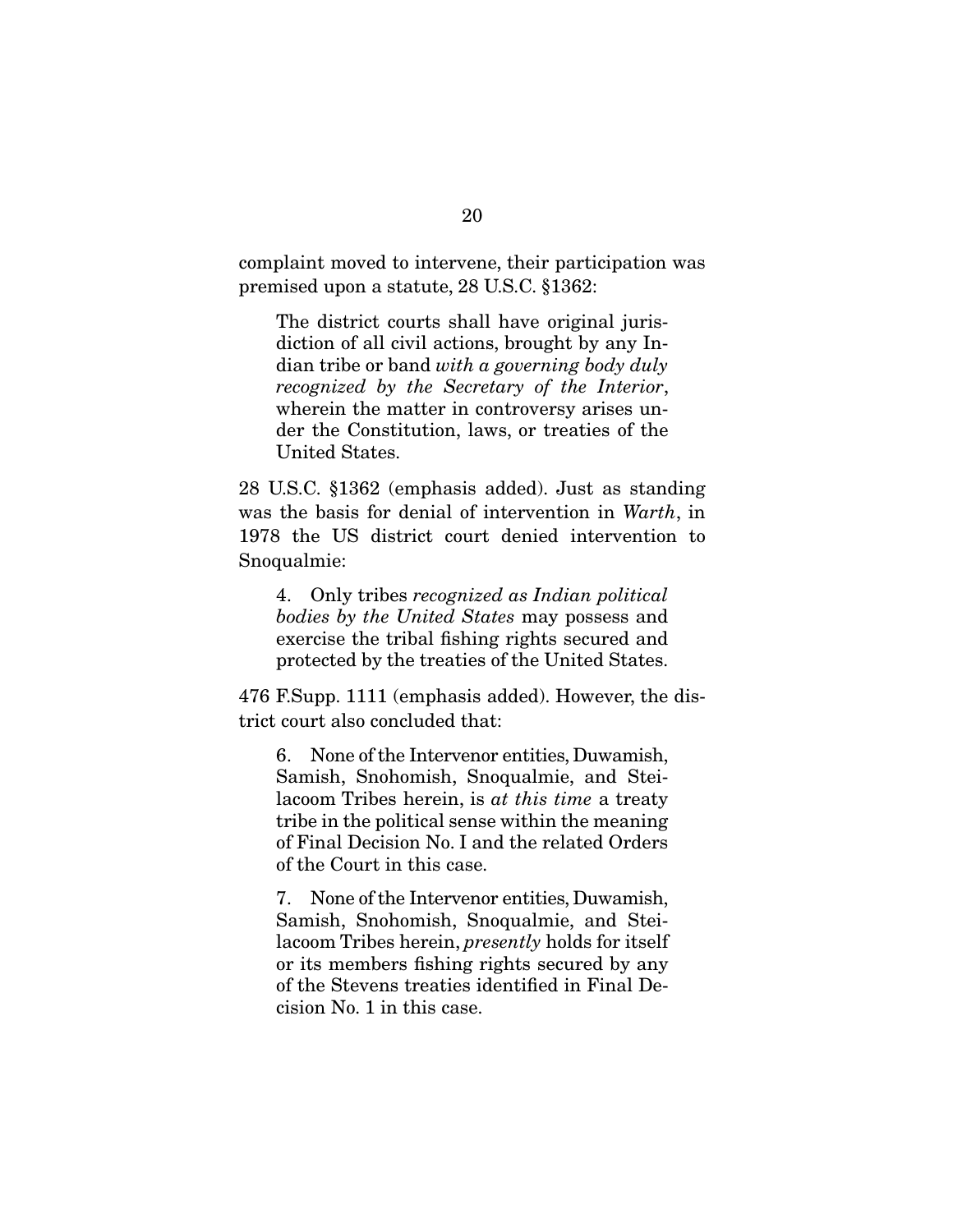complaint moved to intervene, their participation was<br>premised upon a statute, 28 U.S.C. §1362:  $\mathbf{p}$  and  $\mathbf{p}$  and  $\mathbf{p}$  and  $\mathbf{p}$  and  $\mathbf{p}$   $\mathbf{p}$  and  $\mathbf{p}$   $\mathbf{p}$ 

The district courts shall have original juris-<br>diction of all civil actions, brought by any In- $\frac{d}{dt}$  dian tribe or band with a governing body duly recognized by the Secretary of the Interior recognized by the Secretary of the Interior, wherein the matter in controversy arises under the Constitution, laws, or treaties of the United States. United States.

was the basis for denial of intervention in *Warth*, in  $1978$  the US district court denied intervention to 1978 the US district court denied intervention to  $\mathcal{S}$  such that  $\mathcal{S}$ 

4. Only tribes recognized as Indian political bodies by the United States may possess and<br>exercise the tribal fishing rights secured and protected by the treaties of the United States. protected by the treaties of the United States.

476 F.Supp. 1111 (emphasis added). However, the district court also concluded that:

6. None of the Intervenor entities, Duwamish,  $\frac{1}{10}$  acoom Tribes herein, is at this time a treaty<br>tribe in the political sense within the meaning tribe in the political sense within the meaning<br>of Final Decision No. I and the related Orders of the Court in this case. of the Court in this case.

7. None of the Intervenor entities, Duwamish, Samish, Shootensing, Stee-particles, and Stee-<br>lacoom Tribes herein, *presently* holds for itself<br>or its members fishing rights secured by any or its members fishing rights secured by any<br>of the Stevens treaties identified in Final De $cision No. 1 in this case.$ cision is the complete case.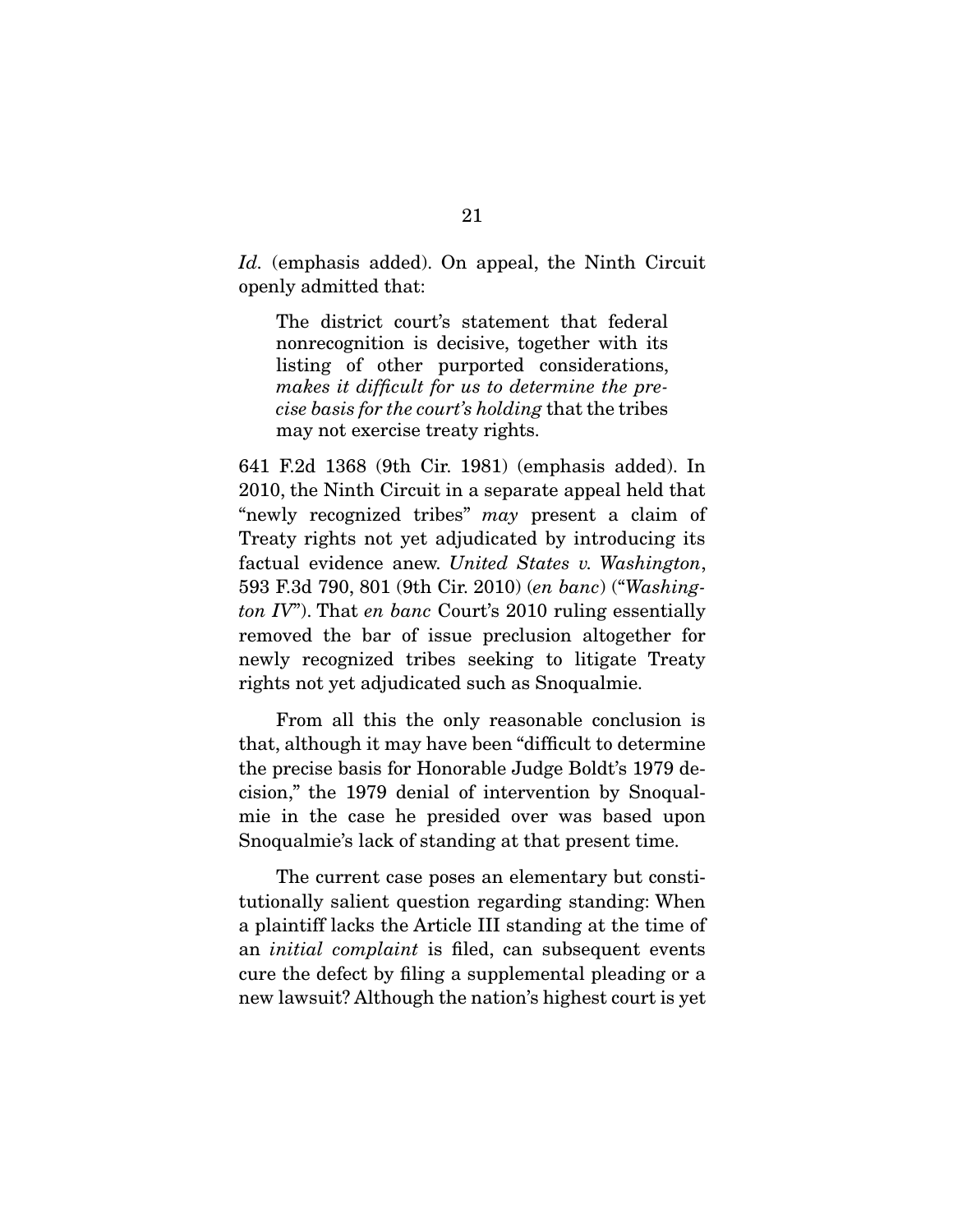Id. (emphasis added). On appeal, the Ninth Circuit openly admitted that:

The district court's statement that federal<br>nonrecognition is decisive, together with its listing of other purported considerations, makes it difficult for us to determine the precise basis for the court's holding that the tribes may not exercise treaty rights.

641 F.2d 1368 (9th Cir. 1981) (emphasis added). In  $\sum_{i=1}^{n}$  and  $\sum_{i=1}^{n}$  in a separate appeal  $\sum_{i=1}^{n}$  and  $\sum_{i=1}^{n}$  and  $\sum_{i=1}^{n}$  and  $\sum_{i=1}^{n}$  and  $\sum_{i=1}^{n}$  and  $\sum_{i=1}^{n}$  and  $\sum_{i=1}^{n}$  and  $\sum_{i=1}^{n}$  and  $\sum_{i=1}^{n}$  and  $\sum_{i=1}^{n}$  and  $T_{\text{total}}$  evidence anew. United States v. Washington,<br> $503 F34 700 F01 (0^{th} Cir 2010) (en bare)$  ("Washington, 593 F.3d 790, 801 (9th Cir. 2010) (en banc) ("Washington  $IV$ "). That en banc Court's 2010 ruling essentially removed the bar of issue preclusion altogether for newly recognized tribes seeking to litigate Treaty newly recognized the west of the seeking the seeing the seeing the seeing the seeing the tripe of the seeing the seeing the seeing of the seeing of the seeing of the seeing of the seeing of the seeing of the seeing of the  $\sigma$  as  $\sigma$  yet adjudicated such as  $\Gamma$ 

From all this the only reasonable conclusion is that, although it may have been "difficult to determine" the precise basis for Honorable Judge Boldt's 1979 decision," the 1979 denial of intervention by Snoqualmie in the case he presided over was based upon Snoqualmie's lack of standing at that present time. Snoqualmie's lack of standing at that present time.

The current case poses an elementary but constitutionally salient question regarding standing: When a plaintiff lacks the Article III standing at the time of an *initial complaint* is filed, can subsequent events  $\frac{1}{2}$  are the defect by filing a supplemental placeting or a cure the defect by filing a supplemental pleading or a new lawsuit? Although the nation's highest court is yet  $\frac{1}{\sqrt{2}}$  although the nation  $\frac{1}{\sqrt{2}}$  court is  $\frac{1}{\sqrt{2}}$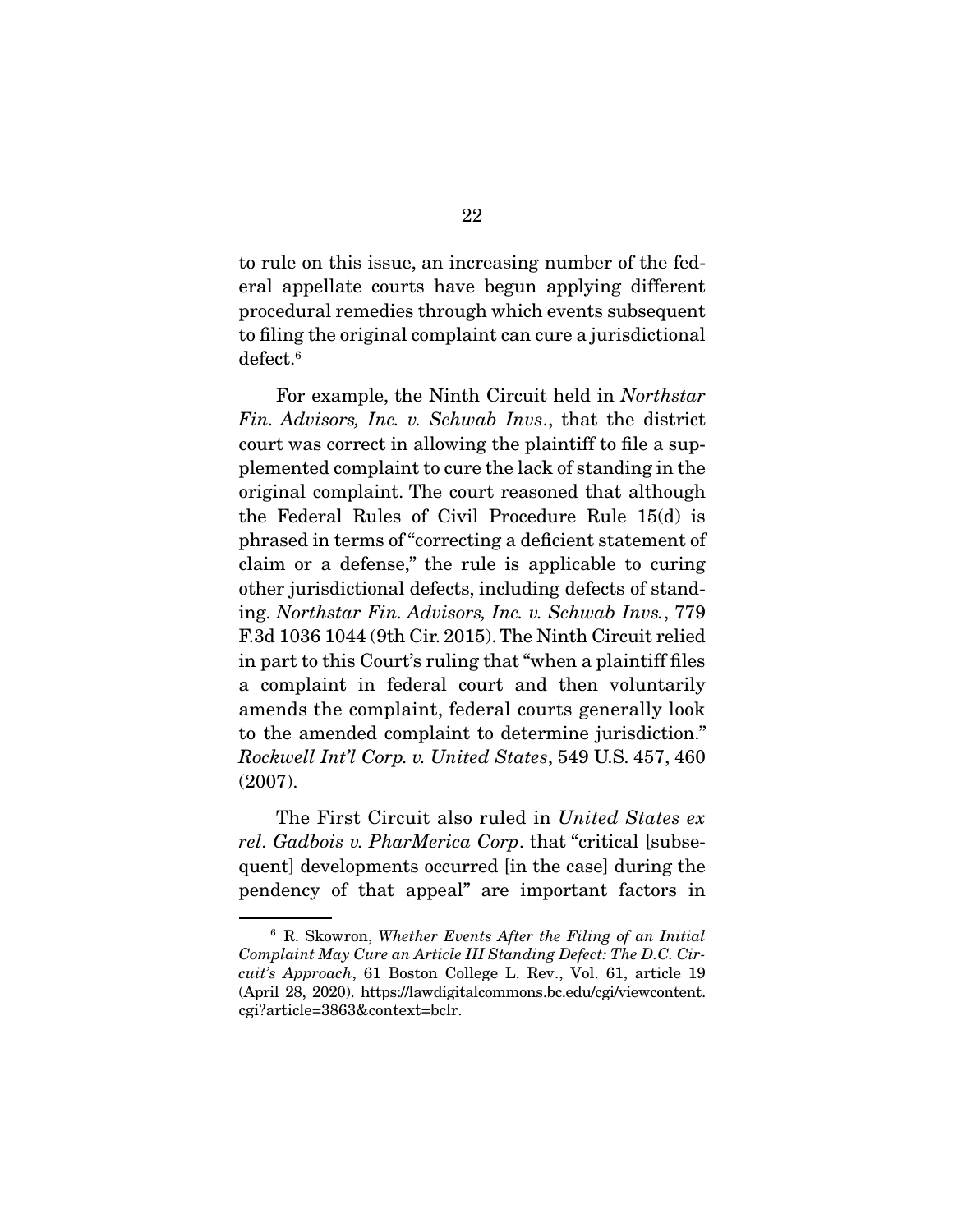to rule on this issue, an increasing number of the fedprocedural remedies through which events subsequent to filing the original complaint can cure a jurisdictional  $\frac{1}{\sqrt{2}}$  to  $\frac{1}{\sqrt{2}}$  complement complement complement can complete a jurisdictional complement can contain  $\frac{1}{\sqrt{2}}$  contains the complement contains of  $\frac{1}{\sqrt{2}}$  contains the complete  $\frac{1}{\sqrt{2}}$  contains defect.<sup>6</sup>

 For example, the Ninth Circuit held in Northstar Fin. Advisors, Inc. v. Schwab Invs., that the district court was correct in allowing the plaintiff to file a supplemented complaint to cure the lack of standing in the priginal complaint. The court reasoned that although the Federal Rules of Civil Procedure Rule  $15(d)$  is phrased in terms of "correcting a deficient statement of claim or a defense," the rule is applicable to curing other jurisdictional defects, including defects of standother jurisdictional defects, including defects of stand-<br>ing. Northstar Fin. Advisors, Inc. v. Schwab Invs., 779<br>E3d 1036 1044 (9th Cir. 2015). The Ninth Circuit relied F.3d 1036 1044 (9th Cir. 2015). The Ninth Circuit relied<br>in part to this Court's ruling that "when a plaintiff files a complaint in federal court and then voluntarily amends the complaint, federal courts generally look to the amended complaint to determine jurisdiction." to the amended complaint to determine jurisdiction." Rockwell Int'l Corp. v. United States, 549 U.S. 457, 460  $\sum_{i=1}^{n}$ 

The First Circuit also ruled in United States ex rel. Gadbois v. PharMerica Corp. that "critical [subsequent] developments occurred [in the case] during the pendency of that appeal" are important factors in  $\mathbf{p}$  are input are important factors in portant factors in the important factors in  $\mathbf{p}$ 

 $6$  R. Skowron, Whether Events After the Filing of an Initial Complaint May Cure an Article III Standing Defect: The D.C. Circuit's Approach, 61 Boston College L. Rev., Vol. 61, article 19 (April 28, 2020). https://lawdigitalcommons.bc.edu/cgi/viewcontent. cgi?article=3863&context=bclr. cgirameter contententements.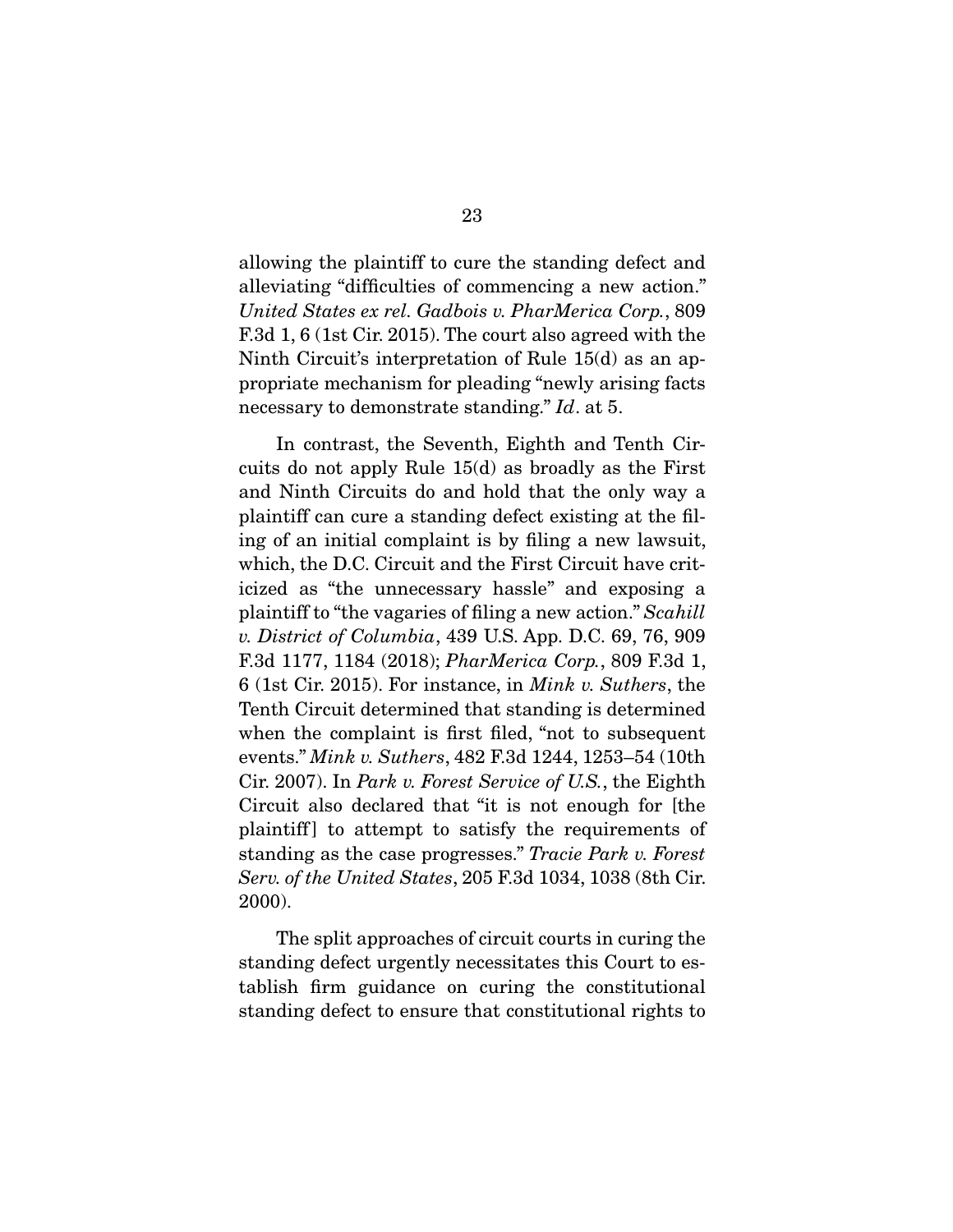allowing the plaintiff to cure the standing defect and alleviating "difficulties of commencing a new action." United States ex rel. Gadbois v. PharMerica Corp., 809 F.3d 1, 6 (1st Cir. 2015). The court also agreed with the Ninth Circuit's interpretation of Rule 15(d) as an appropriate mechanism for pleading "newly arising facts" necessary to demonstrate standing." Id. at 5.

In contrast, the Seventh, Eighth and Tenth Cir-<br>cuits do not apply Rule 15(d) as broadly as the First and Ninth Circuits do and hold that the only way a plaintiff can cure a standing defect existing at the filing of an initial complaint is by filing a new lawsuit, which, the D.C. Circuit and the First Circuit have criticized as "the unnecessary hassle" and exposing a plaintiff to "the vagaries of filing a new action." Scahill<br>" District of Columbia 439 U.S. App. D.C. 69, 76, 909 v. District of Columbia, 439 U.S. App. D.C. 69, 76, 909 F.3d 1177, 1184 (2018); PharMerica Corp., 809 F.3d 1, 6 (1st Cir. 2015). For instance, in *Mink v. Suthers*, the Tenth Circuit determined that standing is determined when the complaint is first filed, "not to subsequent where the complement is first first, the complete events."  $Mink v$ . Suthers, 482 F.3d 1244, 1253–54 (10th  $Cir 2007$ ) In Park v. Forest Service of  $US$  the Fighth Cir. 2007). In *Park v. Forest Service of U.S.*, the Eighth Circuit also declared that "it is not enough for [the plaintiff] to attempt to satisfy the requirements of  $\frac{1}{2}$  standing as the case progresses." Tracie Park v. Forest<br>Serve of the United States, 205 E 3d 1034, 1038 (3th Cir. Serv. of the United States, 205 F.3d 1034, 1038 (8th Cir. 2000).

The split approaches of circuit courts in curing the standing defect urgently necessitates this Court to establish firm guidance on curing the constitutional standing defect to ensure that constitutional rights to standing defect to ensure that constitutional rights to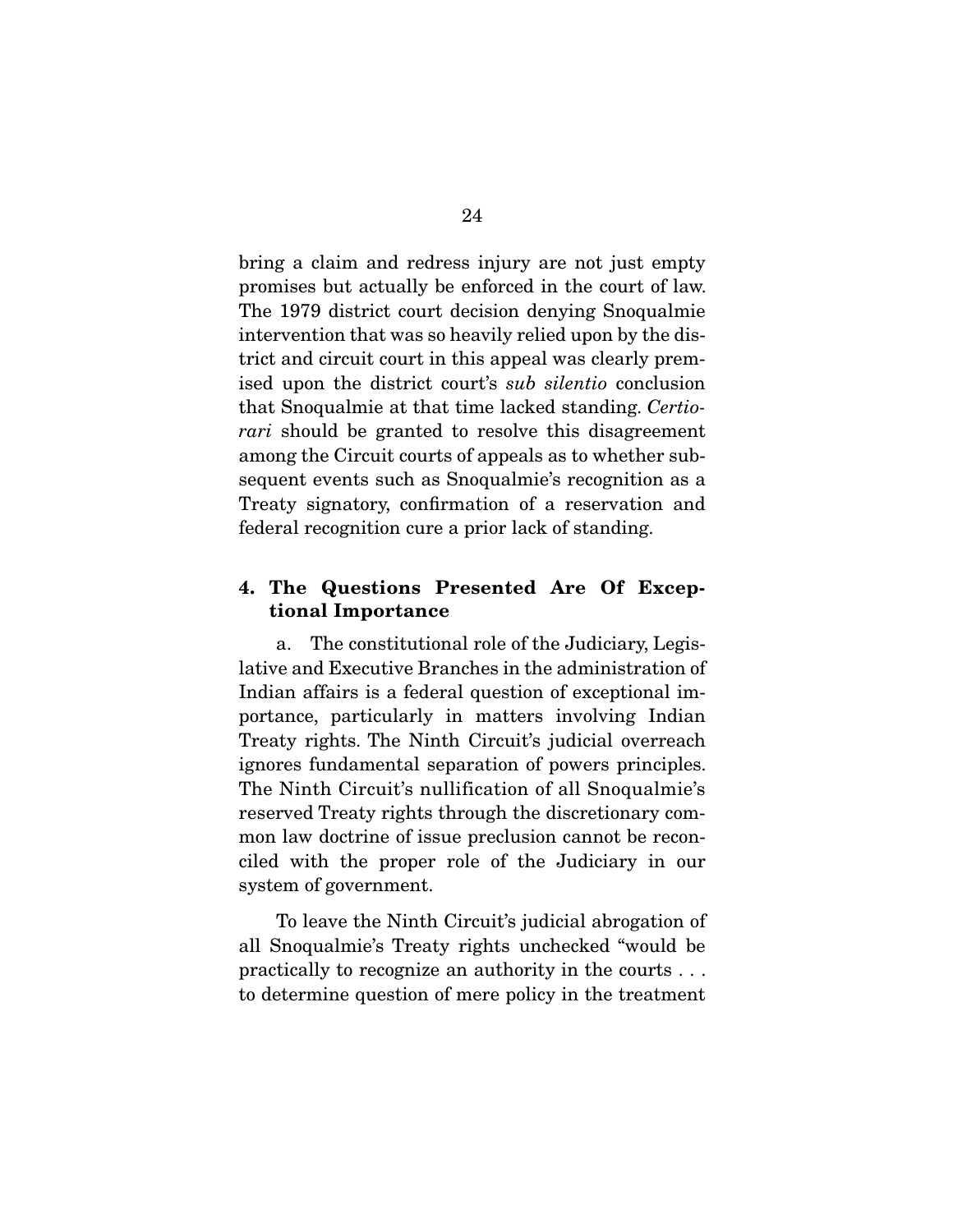bring a claim and redress injury are not just empty promises but actually be enforced in the court of law. The 1979 district court decision denying Snoqualmie intervention that was so heavily relied upon by the district and circuit court in this appeal was clearly premised upon the district court's sub silentio conclusion<br>that Specualmia at that time lacked standing Certic that Snoqualmie at that time lacked standing. Certiorari should be granted to resolve this disagreement<br>among the Circuit courts of appeals as to whether subsequent events such as Snoqualmie's recognition as a Treaty signatory, confirmation of a reservation and  $T_{\rm{r}}$  signatory, confirmation  $\alpha$  respectively. federal recognition cure a prior lack of standing.

### **4. The Questions Presented Are Of Exceptional Importance**

 a. The constitutional role of the Judiciary, Legis-Indian affairs is a federal question of exceptional importance, particularly in matters involving Indian Treaty rights. The Ninth Circuit's judicial overreach ignores fundamental separation of powers principles. The Ninth Circuit's nullification of all Snoqualmie's. reserved Treaty rights through the discretionary common law doctrine of issue preclusion cannot be reconciled with the proper role of the Judiciary in our  $\frac{1}{2}$  and  $\frac{1}{2}$  in  $\frac{1}{2}$  in  $\frac{1}{2}$  in  $\frac{1}{2}$  in  $\frac{1}{2}$  in  $\frac{1}{2}$  in  $\frac{1}{2}$  in  $\frac{1}{2}$  in  $\frac{1}{2}$  in  $\frac{1}{2}$  in  $\frac{1}{2}$  in  $\frac{1}{2}$  in  $\frac{1}{2}$  in  $\frac{1}{2}$  in  $\frac{1}{2}$  in  $\frac{1}{2}$  in  $s<sub>g</sub>$ 

To leave the Ninth Circuit's judicial abrogation of all Snoqualmie's Treaty rights unchecked "would be practically to recognize an authority in the courts  $\dots$ to determine question of mere policy in the treatment to determine question of  $\mathbf{r}_1$  and  $\mathbf{r}_2$  is the treatment.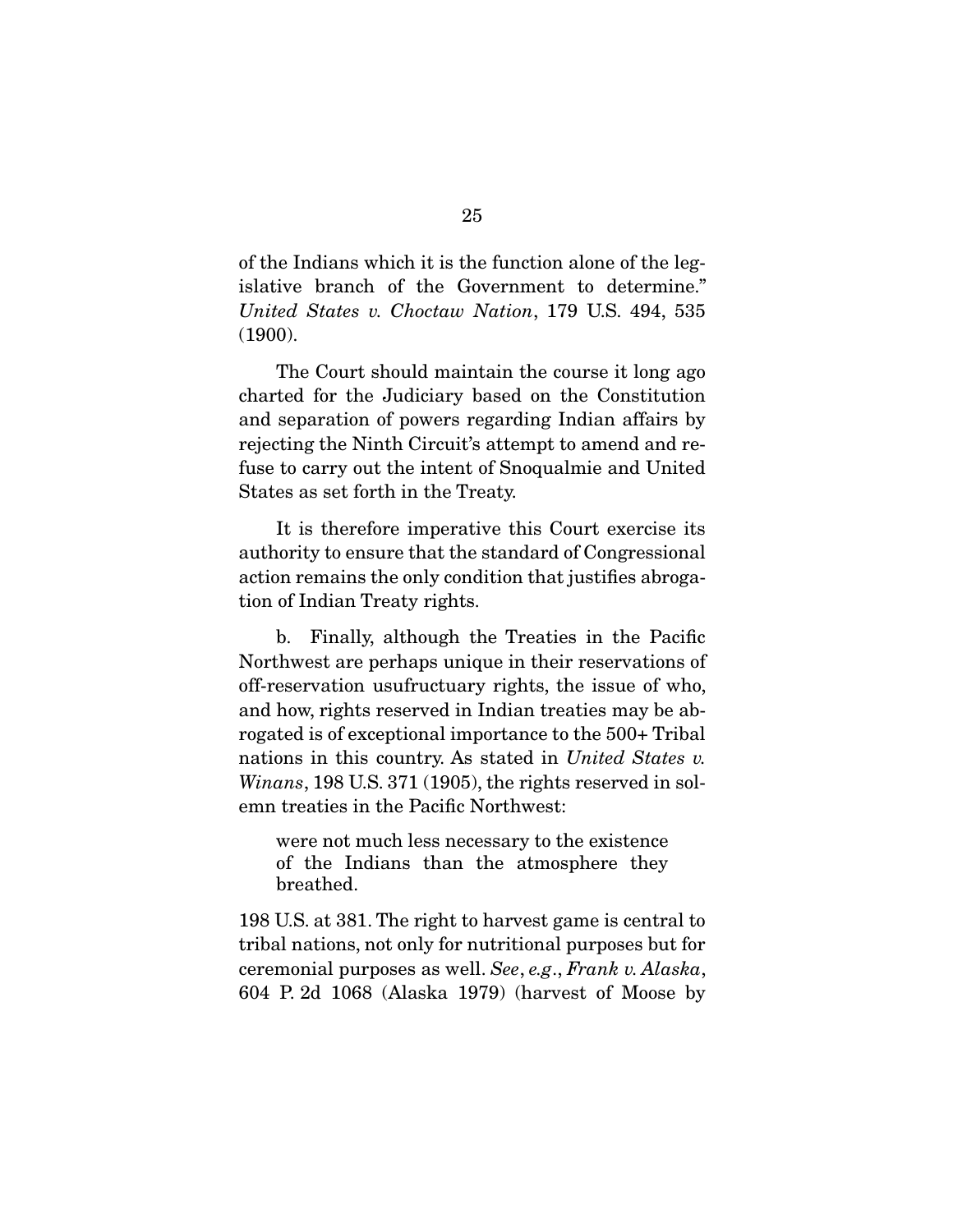of the Indians which it is the function alone of the leg- $United States v. Choctaw Nation, 179 U.S. 494, 535  
\n(1900)$  $(1900)$ 

The Court should maintain the course it long ago<br>charted for the Judiciary based on the Constitution and separation of powers regarding Indian affairs by rejecting the Ninth Circuit's attempt to amend and refuse to carry out the intent of Snoqualmie and United  $f_{\text{data}}$  as so for  $\frac{1}{\sqrt{2}}$  in the Treaty  $\mathbb{R}$  states as set for the Treaty.

It is therefore imperative this Court exercise its authority to ensure that the standard of Congressional action remains the only condition that justifies abrogation of Indian Treaty rights.  $\frac{1}{\sqrt{2}}$  of  $\frac{1}{\sqrt{2}}$ 

b. Finally, although the Treaties in the Pacific Northwest are perhaps unique in their reservations of off-reservation usufructuary rights, the issue of who, and how, rights reserved in Indian treaties may be abrogated is of exceptional importance to the 500+ Tribal rogated in United States v.<br>Wingne 198 U.S. 271 (1905) the rights reserved in sol Winans, 198 U.S. 371 (1905), the rights reserved in solemn treaties in the Pacific Northwest: emn treaties in the Pacific Northwest:

were not much less necessary to the existence of the Indians than the atmosphere they<br>breathed breathed.

198 U.S. at 381. The right to harvest game is central to ceremonial purposes as well. See, e.g., Frank v. Alaska,<br>604, P. 2d. 1068, (Alaska, 1979), (baryost, of Moose, by  $\mathcal{L}(\mathcal{A})$  and  $\mathcal{L}(\mathcal{A})$  and  $\mathcal{L}(\mathcal{A})$  (has the Moose by Moose by  $\mathcal{L}(\mathcal{A})$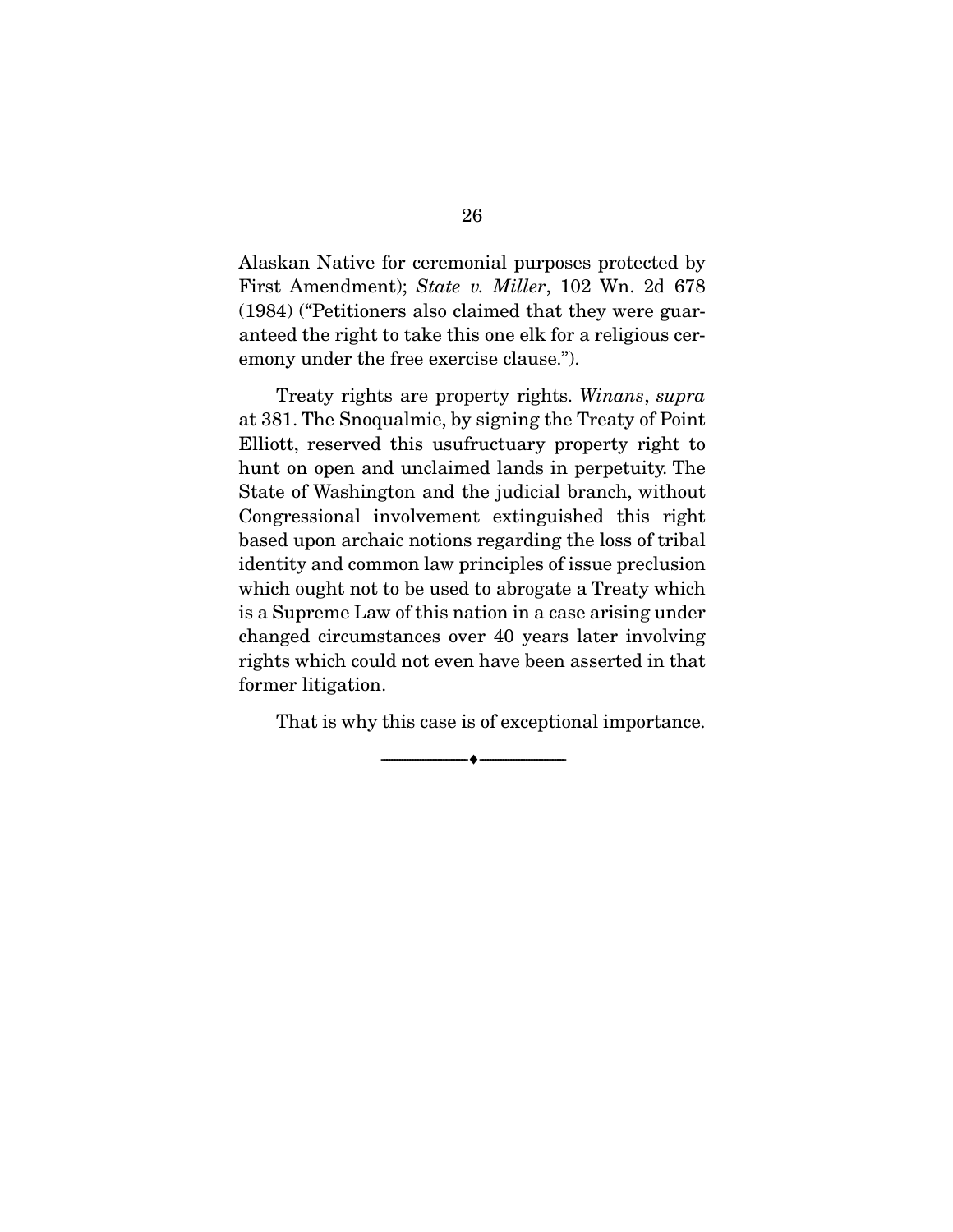First Amendment); State v. Miller, 102 Wn. 2d 678 (1984) ("Petitioners also claimed that they were guar- $\alpha$  and  $\alpha$  the right to the condition of  $\beta$ emony under the free exercise clause.").

Treaty rights are property rights. Winans, supra at 381. The Snoqualmie, by signing the Treaty of Point Elliott, reserved this usufructuary property right to hunt on open and unclaimed lands in perpetuity. The State of Washington and the judicial branch, without Congressional involvement extinguished this right based upon archaic notions regarding the loss of tribal identity and common law principles of issue preclusion which ought not to be used to abrogate a Treaty which is a Supreme Law of this nation in a case arising under changed circumstances over 40 years later involving rights which could not even have been asserted in that former litigation. former litigation.

That is why this case is of exceptional importance.

 $\overbrace{\hspace{2.5cm}}$   $\overbrace{\hspace{2.5cm}}$